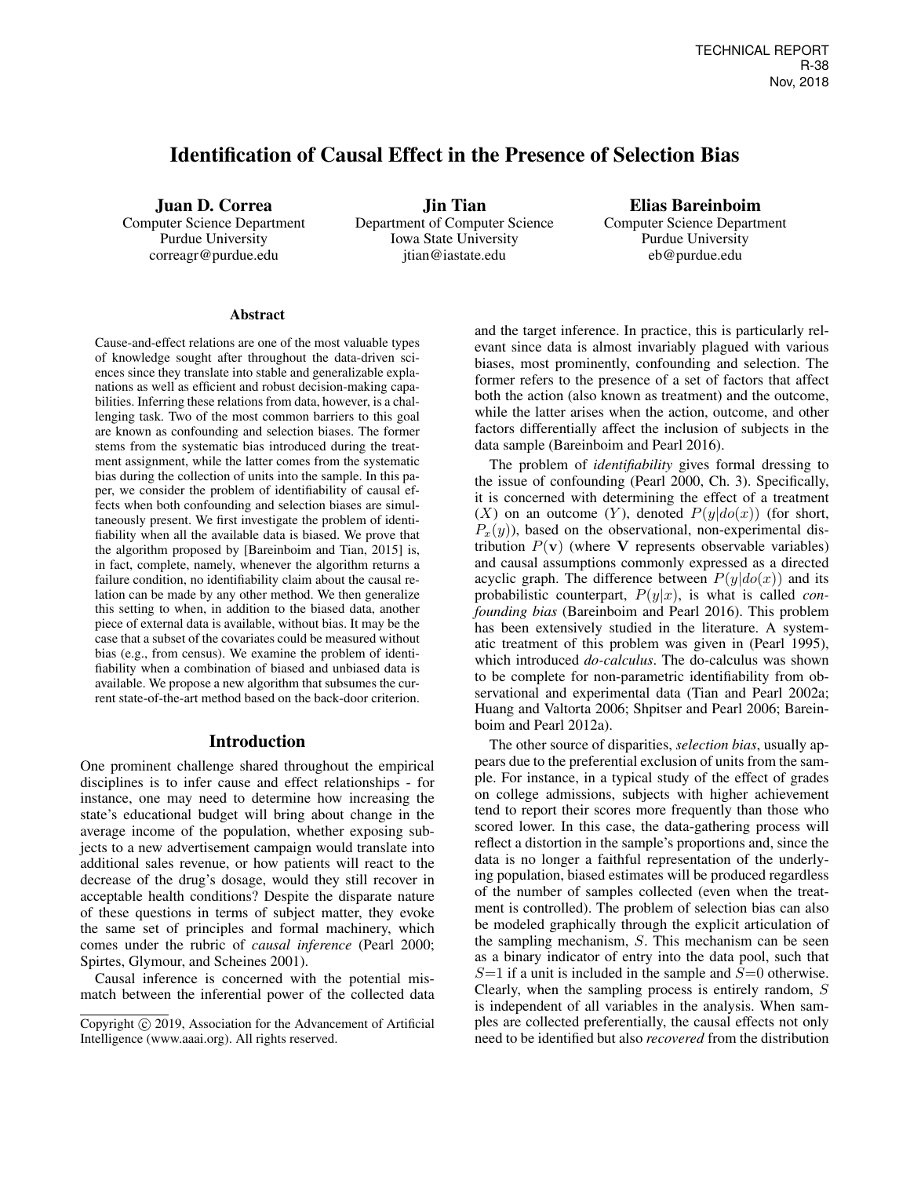# Identification of Causal Effect in the Presence of Selection Bias

Juan D. Correa

Computer Science Department Purdue University correagr@purdue.edu

Jin Tian Department of Computer Science Iowa State University jtian@iastate.edu

Elias Bareinboim Computer Science Department Purdue University eb@purdue.edu

#### Abstract

Cause-and-effect relations are one of the most valuable types of knowledge sought after throughout the data-driven sciences since they translate into stable and generalizable explanations as well as efficient and robust decision-making capabilities. Inferring these relations from data, however, is a challenging task. Two of the most common barriers to this goal are known as confounding and selection biases. The former stems from the systematic bias introduced during the treatment assignment, while the latter comes from the systematic bias during the collection of units into the sample. In this paper, we consider the problem of identifiability of causal effects when both confounding and selection biases are simultaneously present. We first investigate the problem of identifiability when all the available data is biased. We prove that the algorithm proposed by [Bareinboim and Tian, 2015] is, in fact, complete, namely, whenever the algorithm returns a failure condition, no identifiability claim about the causal relation can be made by any other method. We then generalize this setting to when, in addition to the biased data, another piece of external data is available, without bias. It may be the case that a subset of the covariates could be measured without bias (e.g., from census). We examine the problem of identifiability when a combination of biased and unbiased data is available. We propose a new algorithm that subsumes the current state-of-the-art method based on the back-door criterion.

## Introduction

One prominent challenge shared throughout the empirical disciplines is to infer cause and effect relationships - for instance, one may need to determine how increasing the state's educational budget will bring about change in the average income of the population, whether exposing subjects to a new advertisement campaign would translate into additional sales revenue, or how patients will react to the decrease of the drug's dosage, would they still recover in acceptable health conditions? Despite the disparate nature of these questions in terms of subject matter, they evoke the same set of principles and formal machinery, which comes under the rubric of *causal inference* (Pearl 2000; Spirtes, Glymour, and Scheines 2001).

Causal inference is concerned with the potential mismatch between the inferential power of the collected data and the target inference. In practice, this is particularly relevant since data is almost invariably plagued with various biases, most prominently, confounding and selection. The former refers to the presence of a set of factors that affect both the action (also known as treatment) and the outcome, while the latter arises when the action, outcome, and other factors differentially affect the inclusion of subjects in the data sample (Bareinboim and Pearl 2016).

The problem of *identifiability* gives formal dressing to the issue of confounding (Pearl 2000, Ch. 3). Specifically, it is concerned with determining the effect of a treatment  $(X)$  on an outcome  $(Y)$ , denoted  $P(y|do(x))$  (for short,  $P_x(y)$ , based on the observational, non-experimental distribution  $P(\mathbf{v})$  (where V represents observable variables) and causal assumptions commonly expressed as a directed acyclic graph. The difference between  $P(y|do(x))$  and its probabilistic counterpart,  $P(y|x)$ , is what is called *confounding bias* (Bareinboim and Pearl 2016). This problem has been extensively studied in the literature. A systematic treatment of this problem was given in (Pearl 1995), which introduced *do-calculus*. The do-calculus was shown to be complete for non-parametric identifiability from observational and experimental data (Tian and Pearl 2002a; Huang and Valtorta 2006; Shpitser and Pearl 2006; Bareinboim and Pearl 2012a).

The other source of disparities, *selection bias*, usually appears due to the preferential exclusion of units from the sample. For instance, in a typical study of the effect of grades on college admissions, subjects with higher achievement tend to report their scores more frequently than those who scored lower. In this case, the data-gathering process will reflect a distortion in the sample's proportions and, since the data is no longer a faithful representation of the underlying population, biased estimates will be produced regardless of the number of samples collected (even when the treatment is controlled). The problem of selection bias can also be modeled graphically through the explicit articulation of the sampling mechanism, S. This mechanism can be seen as a binary indicator of entry into the data pool, such that  $S=1$  if a unit is included in the sample and  $S=0$  otherwise. Clearly, when the sampling process is entirely random, S is independent of all variables in the analysis. When samples are collected preferentially, the causal effects not only need to be identified but also *recovered* from the distribution

Copyright (c) 2019, Association for the Advancement of Artificial Intelligence (www.aaai.org). All rights reserved.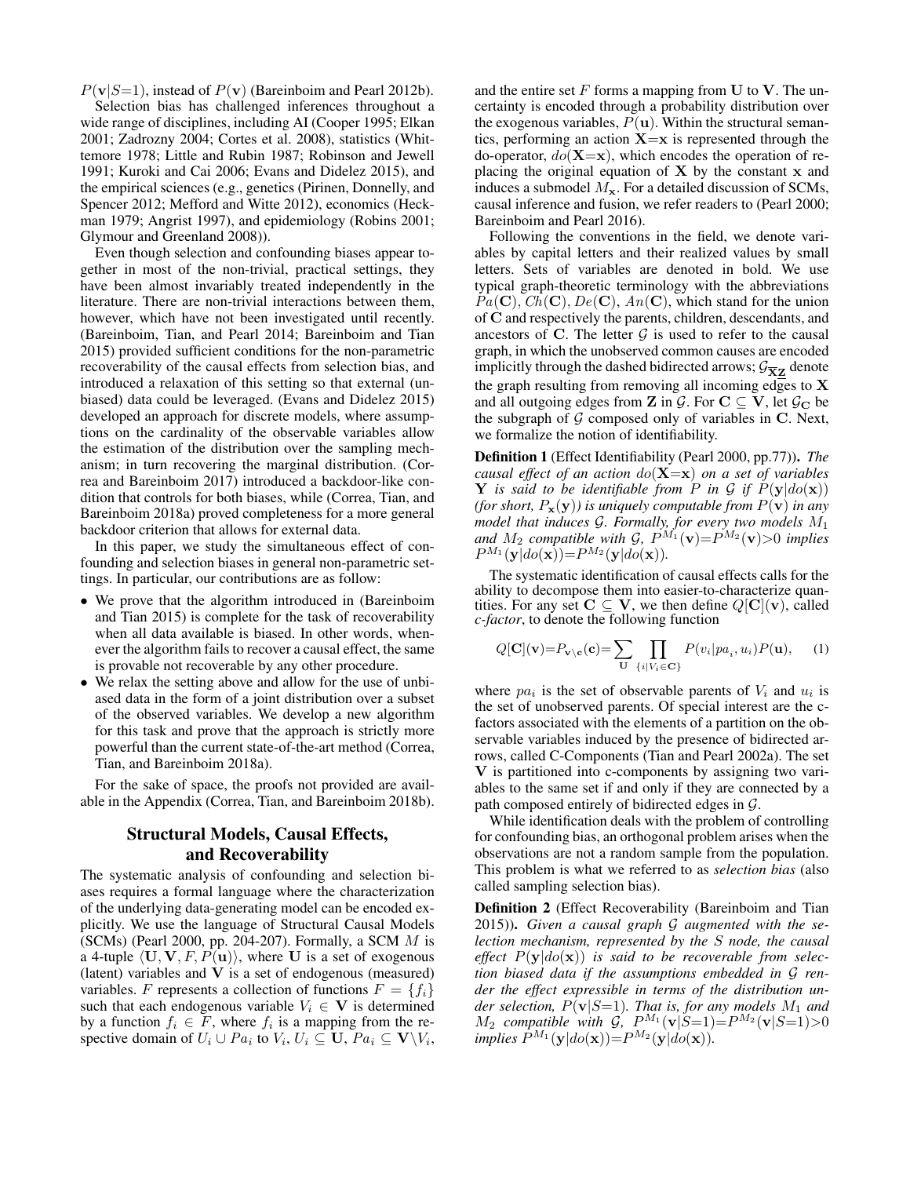$P(\mathbf{v}|S=1)$ , instead of  $P(\mathbf{v})$  (Bareinboim and Pearl 2012b).

Selection bias has challenged inferences throughout a wide range of disciplines, including AI (Cooper 1995; Elkan 2001; Zadrozny 2004; Cortes et al. 2008), statistics (Whittemore 1978; Little and Rubin 1987; Robinson and Jewell 1991; Kuroki and Cai 2006; Evans and Didelez 2015), and the empirical sciences (e.g., genetics (Pirinen, Donnelly, and Spencer 2012; Mefford and Witte 2012), economics (Heckman 1979; Angrist 1997), and epidemiology (Robins 2001; Glymour and Greenland 2008)).

Even though selection and confounding biases appear together in most of the non-trivial, practical settings, they have been almost invariably treated independently in the literature. There are non-trivial interactions between them, however, which have not been investigated until recently. (Bareinboim, Tian, and Pearl 2014; Bareinboim and Tian 2015) provided sufficient conditions for the non-parametric recoverability of the causal effects from selection bias, and introduced a relaxation of this setting so that external (unbiased) data could be leveraged. (Evans and Didelez 2015) developed an approach for discrete models, where assumptions on the cardinality of the observable variables allow the estimation of the distribution over the sampling mechanism; in turn recovering the marginal distribution. (Correa and Bareinboim 2017) introduced a backdoor-like condition that controls for both biases, while (Correa, Tian, and Bareinboim 2018a) proved completeness for a more general backdoor criterion that allows for external data.

In this paper, we study the simultaneous effect of confounding and selection biases in general non-parametric settings. In particular, our contributions are as follow:

- We prove that the algorithm introduced in (Bareinboim and Tian 2015) is complete for the task of recoverability when all data available is biased. In other words, whenever the algorithm fails to recover a causal effect, the same is provable not recoverable by any other procedure.
- We relax the setting above and allow for the use of unbiased data in the form of a joint distribution over a subset of the observed variables. We develop a new algorithm for this task and prove that the approach is strictly more powerful than the current state-of-the-art method (Correa, Tian, and Bareinboim 2018a).

For the sake of space, the proofs not provided are available in the Appendix (Correa, Tian, and Bareinboim 2018b).

## Structural Models, Causal Effects, and Recoverability

The systematic analysis of confounding and selection biases requires a formal language where the characterization of the underlying data-generating model can be encoded explicitly. We use the language of Structural Causal Models (SCMs) (Pearl 2000, pp. 204-207). Formally, a SCM M is a 4-tuple  $\langle \mathbf{U}, \mathbf{V}, F, P(\mathbf{u}) \rangle$ , where U is a set of exogenous (latent) variables and  $\bar{V}$  is a set of endogenous (measured) variables. F represents a collection of functions  $F = \{f_i\}$ such that each endogenous variable  $V_i \in V$  is determined by a function  $f_i \in F$ , where  $f_i$  is a mapping from the respective domain of  $U_i \cup Pa_i$  to  $V_i$ ,  $U_i \subseteq U$ ,  $Pa_i \subseteq V\backslash V_i$ ,

and the entire set  $F$  forms a mapping from U to V. The uncertainty is encoded through a probability distribution over the exogenous variables,  $P(\mathbf{u})$ . Within the structural semantics, performing an action  $X=x$  is represented through the do-operator,  $do(X=x)$ , which encodes the operation of replacing the original equation of  $X$  by the constant  $x$  and induces a submodel  $M_{\mathbf{x}}$ . For a detailed discussion of SCMs, causal inference and fusion, we refer readers to (Pearl 2000; Bareinboim and Pearl 2016).

Following the conventions in the field, we denote variables by capital letters and their realized values by small letters. Sets of variables are denoted in bold. We use typical graph-theoretic terminology with the abbreviations  $Pa(\mathbf{C}), Ch(\mathbf{C}), De(\mathbf{C}), An(\mathbf{C}),$  which stand for the union of C and respectively the parents, children, descendants, and ancestors of C. The letter  $G$  is used to refer to the causal graph, in which the unobserved common causes are encoded implicitly through the dashed bidirected arrows;  $\mathcal{G}_{\overline{X}Z}$  denote the graph resulting from removing all incoming edges to  $X$ and all outgoing edges from Z in  $G$ . For  $C \subseteq V$ , let  $G_C$  be the subgraph of  $G$  composed only of variables in C. Next, we formalize the notion of identifiability.

Definition 1 (Effect Identifiability (Pearl 2000, pp.77)). *The causal effect of an action* do(X=x) *on a set of variables* **Y** is said to be identifiable from P in G if  $P(y|do(x))$ *(for short,*  $P_x(y)$ *) is uniquely computable from*  $P(v)$  *in any model that induces* G*. Formally, for every two models* M<sup>1</sup> *and*  $M_2$  *compatible with*  $G$ *,*  $P^{M_1}(\mathbf{v})=P^{M_2}(\mathbf{v})>0$  *implies*  $P^{M_1}({\bf y}|do({\bf x})) = P^{M_2}({\bf y}|do({\bf x})).$ 

The systematic identification of causal effects calls for the ability to decompose them into easier-to-characterize quantities. For any set  $C \subseteq V$ , we then define  $Q[C](v)$ , called *c-factor*, to denote the following function

$$
Q[\mathbf{C}](\mathbf{v}) = P_{\mathbf{v}\setminus\mathbf{c}}(\mathbf{c}) = \sum_{\mathbf{U}} \prod_{\{i \mid V_i \in \mathbf{C}\}} P(v_i | pa_i, u_i) P(\mathbf{u}), \quad (1)
$$

where  $pa_i$  is the set of observable parents of  $V_i$  and  $u_i$  is the set of unobserved parents. Of special interest are the cfactors associated with the elements of a partition on the observable variables induced by the presence of bidirected arrows, called C-Components (Tian and Pearl 2002a). The set V is partitioned into c-components by assigning two variables to the same set if and only if they are connected by a path composed entirely of bidirected edges in  $\mathcal{G}$ .

While identification deals with the problem of controlling for confounding bias, an orthogonal problem arises when the observations are not a random sample from the population. This problem is what we referred to as *selection bias* (also called sampling selection bias).

Definition 2 (Effect Recoverability (Bareinboim and Tian 2015)). *Given a causal graph* G *augmented with the selection mechanism, represented by the* S *node, the causal* effect  $P(y|do(x))$  is said to be recoverable from selec*tion biased data if the assumptions embedded in* G *render the effect expressible in terms of the distribution under selection,* P(v|S=1)*. That is, for any models* M<sup>1</sup> *and*  $M_2$  *compatible with*  $G$ ,  $P^{M_1}(\mathbf{v}|S=1)=P^{M_2}(\mathbf{v}|S=1)>0$ *implies*  $\hat{P}^{M_1}(\mathbf{y}|do(\mathbf{x})) = P^{M_2}(\mathbf{y}|do(\mathbf{x})).$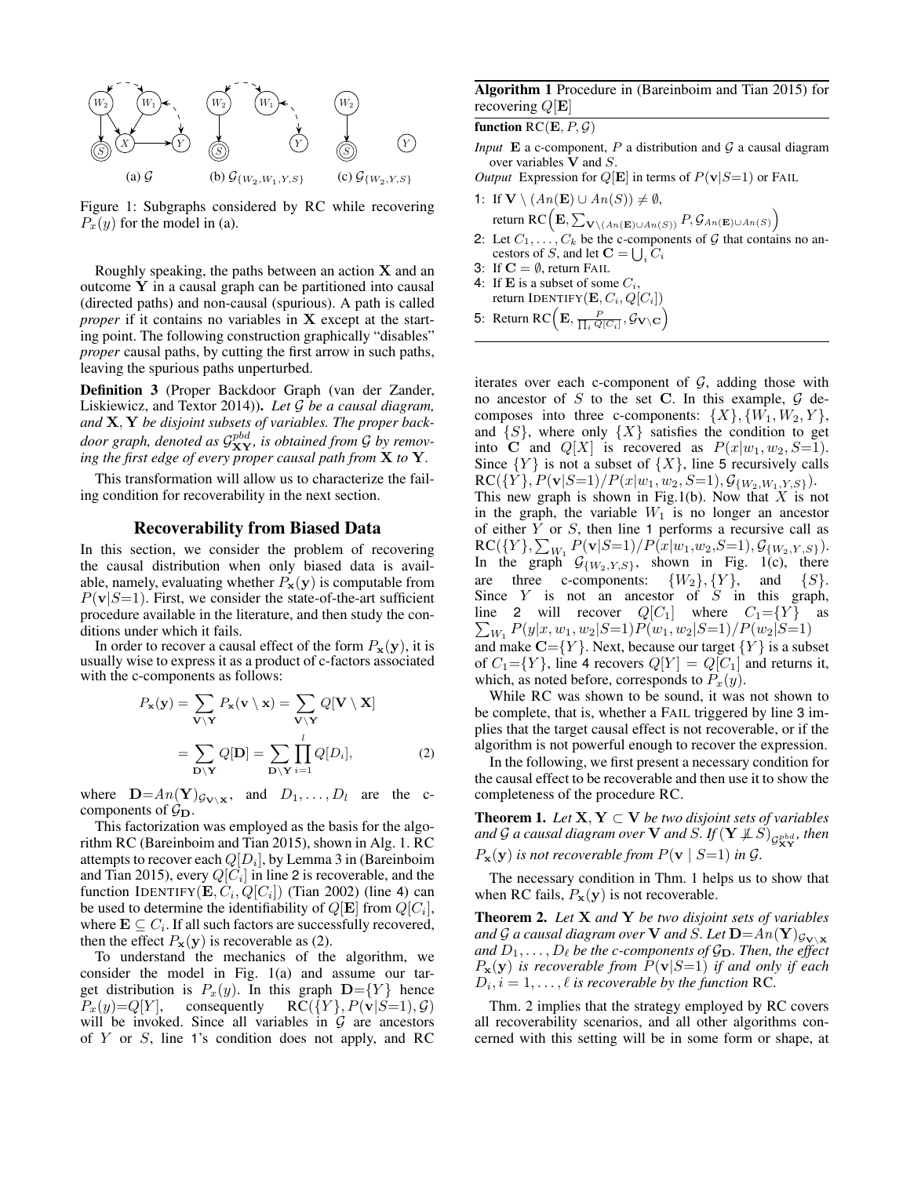

Figure 1: Subgraphs considered by RC while recovering  $P_x(y)$  for the model in (a).

Roughly speaking, the paths between an action  $X$  and an outcome Y in a causal graph can be partitioned into causal (directed paths) and non-causal (spurious). A path is called *proper* if it contains no variables in X except at the starting point. The following construction graphically "disables" *proper* causal paths, by cutting the first arrow in such paths, leaving the spurious paths unperturbed.

Definition 3 (Proper Backdoor Graph (van der Zander, Liskiewicz, and Textor 2014)). *Let* G *be a causal diagram, and* X, Y *be disjoint subsets of variables. The proper back*door graph, denoted as  $\mathcal{G}^{pbd}_{\mathbf{XY}}$ , is obtained from  $\mathcal G$  by remov*ing the first edge of every proper causal path from* X *to* Y*.*

This transformation will allow us to characterize the failing condition for recoverability in the next section.

#### Recoverability from Biased Data

In this section, we consider the problem of recovering the causal distribution when only biased data is available, namely, evaluating whether  $P_{\mathbf{x}}(\mathbf{y})$  is computable from  $P(\mathbf{v}|S=1)$ . First, we consider the state-of-the-art sufficient procedure available in the literature, and then study the conditions under which it fails.

In order to recover a causal effect of the form  $P_{\mathbf{x}}(\mathbf{y})$ , it is usually wise to express it as a product of c-factors associated with the c-components as follows:

$$
P_{\mathbf{x}}(\mathbf{y}) = \sum_{\mathbf{V} \setminus \mathbf{Y}} P_{\mathbf{x}}(\mathbf{v} \setminus \mathbf{x}) = \sum_{\mathbf{V} \setminus \mathbf{Y}} Q[\mathbf{V} \setminus \mathbf{X}]
$$

$$
= \sum_{\mathbf{D} \setminus \mathbf{Y}} Q[\mathbf{D}] = \sum_{\mathbf{D} \setminus \mathbf{Y}} \prod_{i=1}^{l} Q[D_i], \tag{2}
$$

where  $\mathbf{D} = An(\mathbf{Y})_{\mathcal{G}_{\mathbf{V}\setminus\mathbf{X}}},$  and  $D_1, \ldots, D_l$  are the ccomponents of  $\mathcal{G}_{\mathbf{D}}$ .

This factorization was employed as the basis for the algorithm RC (Bareinboim and Tian 2015), shown in Alg. 1. RC attempts to recover each  $Q[D_i]$ , by Lemma 3 in (Bareinboim and Tian 2015), every  $Q[C_i]$  in line 2 is recoverable, and the function IDENTIFY $(E, C_i, Q[C_i])$  (Tian 2002) (line 4) can be used to determine the identifiability of  $Q[\mathbf{E}]$  from  $Q[C_i],$ where  $\mathbf{E} \subseteq C_i$ . If all such factors are successfully recovered, then the effect  $P_x(y)$  is recoverable as (2).

To understand the mechanics of the algorithm, we consider the model in Fig. 1(a) and assume our target distribution is  $P_x(y)$ . In this graph  $\mathbf{D} = \{Y\}$  hence  $P_x(y)=Q[Y]$ , consequently  $RC({Y}, P(v|S=1), \mathcal{G})$ will be invoked. Since all variables in  $G$  are ancestors of Y or S, line 1's condition does not apply, and RC

### Algorithm 1 Procedure in (Bareinboim and Tian 2015) for recovering  $Q[\mathbf{E}]$

function  $RC(E, P, G)$ 

*Input*  $E$  a c-component,  $P$  a distribution and  $G$  a causal diagram over variables  $\mathbf{\tilde{V}}$  and  $S$ .

*Output* Expression for  $Q[\mathbf{E}]$  in terms of  $P(\mathbf{v}|S=1)$  or FAIL

- 1: If  $\mathbf{V} \setminus (An(\mathbf{E}) \cup An(S)) \neq \emptyset$ , return RC $\big(\mathbf{E}, \sum_{\mathbf{V}\setminus( An(\mathbf{E}) \cup An(S))} P, \mathcal{G}_{An(\mathbf{E}) \cup An(S)} \big)$
- 2: Let  $C_1, \ldots, C_k$  be the c-components of G that contains no an-
- cestors of S, and let  $\mathbf{C} = \bigcup_i C_i$ 3: If  $\mathbf{C} = \emptyset$ , return FAIL
- 4: If **E** is a subset of some  $C_i$ .
- return IDENTIFY $(\mathbf{E}, C_i, Q[C_i])$
- 5: Return RC $\left(\mathbf{E}, \frac{P}{\prod_i Q[C_i]}, \mathcal{G}_{\mathbf{V}\setminus\mathbf{C}}\right)$

iterates over each c-component of  $G$ , adding those with no ancestor of  $S$  to the set C. In this example,  $G$  decomposes into three c-components:  $\{X\}, \{W_1, W_2, Y\},\$ and  $\{S\}$ , where only  $\{X\}$  satisfies the condition to get into C and  $Q[X]$  is recovered as  $P(x|w_1, w_2, S=1)$ . Since  ${Y}$  is not a subset of  ${X}$ , line 5 recursively calls  $RC({{\hat{Y}}}, "P({{\bf{v}}}|S=1)/P({x}|w_1,w_2,S=1),\mathcal{G}_{\{W_2,W_1,Y,S\}}).$ This new graph is shown in Fig.1(b). Now that  $X$  is not in the graph, the variable  $W_1$  is no longer an ancestor of either  $Y$  or  $S$ , then line 1 performs a recursive call as  $RC({Y},\sum_{W_1}P({\bf v}|S=1)/P({x}|w_1,w_2,S=1),{\cal G}_{\{W_2,Y,S\}}).$ In the graph  $G_{\{W_2, Y, S\}}$ , shown in Fig. 1(c), there are three c-components:  $\{W_2\}, \{Y\}$ , and  $\{S\}$ . Since  $Y$  is not an ancestor of  $S$  in this graph,  $\sum_{W_1} P(y|x, w_1, w_2|S=1) P(w_1, w_2|S=1) / P(w_2|S=1)$ line 2 will recover  $Q[C_1]$  where  $C_1 = \{Y\}$  as

and make  $\mathbb{C} = \{Y\}$ . Next, because our target  $\{Y\}$  is a subset of  $C_1 = \{Y\}$ , line 4 recovers  $Q[Y] = Q[C_1]$  and returns it, which, as noted before, corresponds to  $P_x(y)$ .

While RC was shown to be sound, it was not shown to be complete, that is, whether a FAIL triggered by line 3 implies that the target causal effect is not recoverable, or if the algorithm is not powerful enough to recover the expression.

In the following, we first present a necessary condition for the causal effect to be recoverable and then use it to show the completeness of the procedure RC.

Theorem 1. *Let*  $X, Y ⊂ V$  *be two disjoint sets of variables* and  ${\cal G}$  a causal diagram over  ${\bf V}$  and  $S$ . If  $({\bf Y} \not\perp S)_{\mathcal{G}_{\bf XY}^{pbd}}$  , then  $P_{\mathbf{x}}(\mathbf{y})$  *is not recoverable from*  $P(\mathbf{v} \mid S=1)$  *in G.* 

The necessary condition in Thm. 1 helps us to show that when RC fails,  $P_{\mathbf{x}}(\mathbf{y})$  is not recoverable.

Theorem 2. *Let* X *and* Y *be two disjoint sets of variables and* G *a causal diagram over* V *and* S. Let  $D = An(Y)_{\mathcal{G}_{V \setminus X}}$ *and*  $D_1, \ldots, D_\ell$  *be the c-components of*  $\mathcal{G}_D$ *. Then, the effect*  $P_{\mathbf{x}}(\mathbf{y})$  *is recoverable from*  $P(\mathbf{v}|S=1)$  *if and only if each*  $D_i, i = 1, \ldots, \ell$  is recoverable by the function RC.

Thm. 2 implies that the strategy employed by RC covers all recoverability scenarios, and all other algorithms concerned with this setting will be in some form or shape, at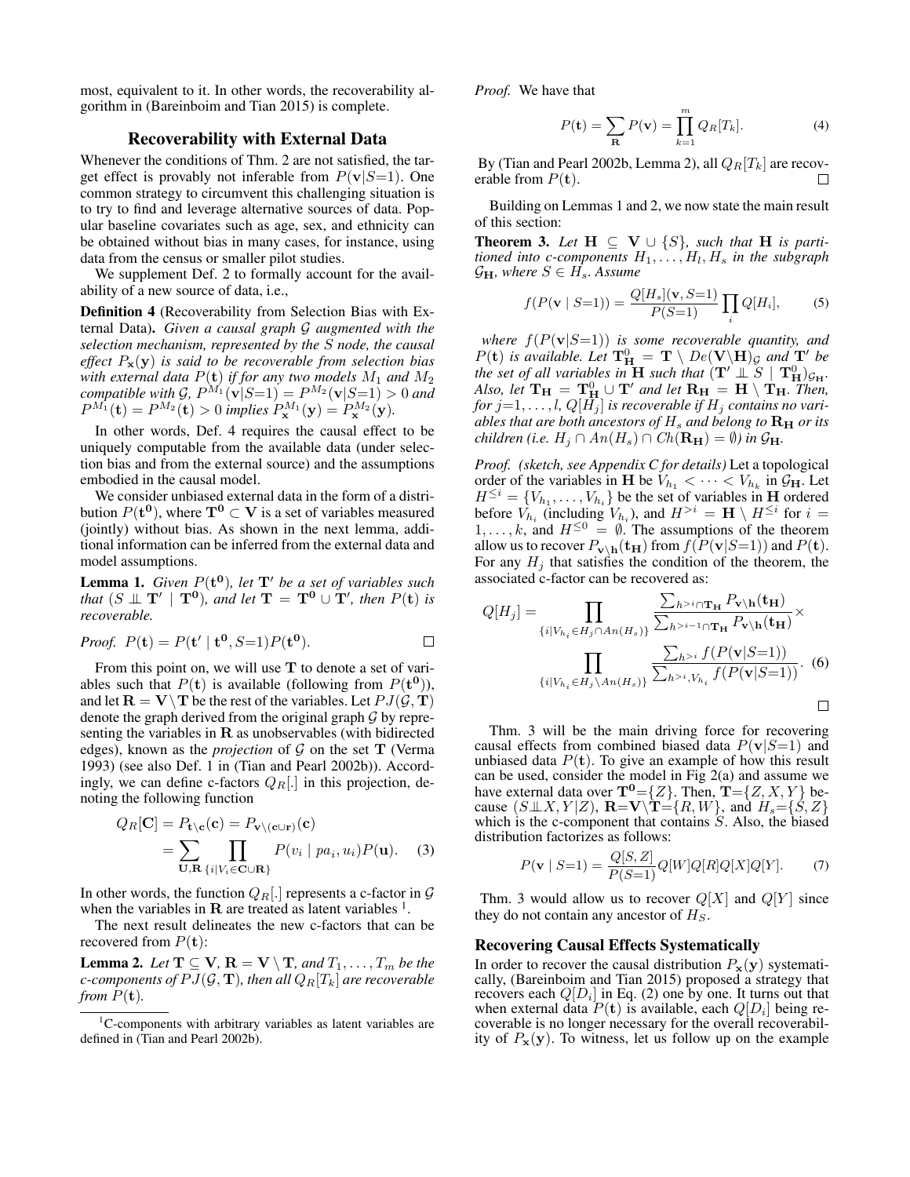most, equivalent to it. In other words, the recoverability algorithm in (Bareinboim and Tian 2015) is complete.

## Recoverability with External Data

Whenever the conditions of Thm. 2 are not satisfied, the target effect is provably not inferable from  $P(\mathbf{v}|S=1)$ . One common strategy to circumvent this challenging situation is to try to find and leverage alternative sources of data. Popular baseline covariates such as age, sex, and ethnicity can be obtained without bias in many cases, for instance, using data from the census or smaller pilot studies.

We supplement Def. 2 to formally account for the availability of a new source of data, i.e.,

Definition 4 (Recoverability from Selection Bias with External Data). *Given a causal graph* G *augmented with the selection mechanism, represented by the* S *node, the causal effect* Px(y) *is said to be recoverable from selection bias with external data*  $P(\mathbf{t})$  *if for any two models*  $M_1$  *and*  $M_2$ *compatible with*  $\mathcal{G}$ ,  $P^{M_1}(\mathbf{v}|S=1) = P^{M_2}(\mathbf{v}|S=1) > 0$  and  $P^{M_1}(\mathbf{t}) = P^{M_2}(\mathbf{t}) > 0$  implies  $P^{M_1}_{\mathbf{x}}(\mathbf{y}) = P^{M_2}_{\mathbf{x}}(\mathbf{y}).$ 

In other words, Def. 4 requires the causal effect to be uniquely computable from the available data (under selection bias and from the external source) and the assumptions embodied in the causal model.

We consider unbiased external data in the form of a distribution  $P(\mathbf{t^0})$ , where  $\mathbf{T^0} \subset \mathbf{V}$  is a set of variables measured (jointly) without bias. As shown in the next lemma, additional information can be inferred from the external data and model assumptions.

**Lemma 1.** *Given*  $P(\mathbf{t^0})$ *, let*  $\mathbf{T}'$  *be a set of variables such that*  $(S \perp \!\!\!\perp T' \mid T^0)$ *, and let*  $T = T^0 \cup T'$ *, then*  $P(\mathbf{t})$  *is recoverable.*

*Proof.* 
$$
P(\mathbf{t}) = P(\mathbf{t'} | \mathbf{t^0}, S=1)P(\mathbf{t^0}).
$$

From this point on, we will use  $T$  to denote a set of variables such that  $P(\mathbf{t})$  is available (following from  $P(\mathbf{t^0})$ ), and let  $\mathbf{R} = \mathbf{V} \setminus \mathbf{T}$  be the rest of the variables. Let  $P J(\mathcal{G}, \mathbf{T})$ denote the graph derived from the original graph  $G$  by representing the variables in  **as unobservables (with bidirected** edges), known as the *projection* of  $G$  on the set **T** (Verma 1993) (see also Def. 1 in (Tian and Pearl 2002b)). Accordingly, we can define c-factors  $Q_R[.]$  in this projection, denoting the following function

$$
Q_R[\mathbf{C}] = P_{\mathbf{t} \setminus \mathbf{c}}(\mathbf{c}) = P_{\mathbf{v} \setminus (\mathbf{c} \cup \mathbf{r})}(\mathbf{c})
$$
  
= 
$$
\sum_{\mathbf{U}, \mathbf{R}} \prod_{\{i \mid V_i \in \mathbf{C} \cup \mathbf{R}\}} P(v_i \mid pa_i, u_i) P(\mathbf{u}).
$$
 (3)

In other words, the function  $Q_R[.]$  represents a c-factor in  $\mathcal G$ when the variables in  $\bf{R}$  are treated as latent variables  $^1$ .

The next result delineates the new c-factors that can be recovered from  $P(\mathbf{t})$ :

**Lemma 2.** *Let*  $T \subseteq V$ ,  $R = V \setminus T$ , *and*  $T_1, \ldots, T_m$  *be the c*-components of  $P J(\mathcal{G}, \mathbf{T})$ *, then all*  $Q_R[T_k]$  *are recoverable from*  $P(\mathbf{t})$ *.* 

*Proof.* We have that

$$
P(\mathbf{t}) = \sum_{\mathbf{R}} P(\mathbf{v}) = \prod_{k=1}^{m} Q_R[T_k].
$$
 (4)

By (Tian and Pearl 2002b, Lemma 2), all  $Q_R[T_k]$  are recoverable from  $P(\mathbf{t})$ . П

Building on Lemmas 1 and 2, we now state the main result of this section:

**Theorem 3.** Let  $H \subseteq V \cup \{S\}$ , such that H is parti*tioned into c-components*  $H_1, \ldots, H_l, H_s$  *in the subgraph*  $\mathcal{G}_{H}$ *, where*  $S \in \hat{H}_s$ *. Assume* 

$$
f(P(\mathbf{v} \mid S=1)) = \frac{Q[H_s](\mathbf{v}, S=1)}{P(S=1)} \prod_i Q[H_i],\tag{5}
$$

*where*  $f(P(\mathbf{v}|S=1))$  *is some recoverable quantity, and*  $P(\mathbf{t})$  *is available. Let*  $\mathbf{T}_{\mathbf{H}}^0 = \mathbf{T} \setminus De(\mathbf{V} \setminus \mathbf{H})$  *g and*  $\mathbf{T}'$  *be the set of all variables in*  $\mathbf{H}$  *such that*  $(\mathbf{T}' \perp S | \mathbf{T}_{\mathbf{H}}^0)_{\mathcal{G}_{\mathbf{H}}}$ . *Also, let*  $T_H = T_H^0 \cup T'$  *and let*  $R_H = H \setminus T_H$ . *Then,* for  $j{=}1,\ldots,l$ ,  $Q[H_j]$  is recoverable if  $H_j$  contains no vari*ables that are both ancestors of*  $H_s$  *and belong to*  $\mathbf{R_H}$  *or its children (i.e.*  $H_j \cap An(H_s) \cap Ch(\mathbf{R_H}) = \emptyset$ ) in  $\mathcal{G}_H$ .

*Proof. (sketch, see Appendix C for details)* Let a topological order of the variables in **H** be  $V_{h_1} < \cdots < V_{h_k}$  in  $\mathcal{G}_{\mathbf{H}}$ . Let  $H^{\leq i} = \{V_{h_1}, \ldots, V_{h_i}\}$  be the set of variables in **H** ordered before  $V_{h_i}$  (including  $V_{h_i}$ ), and  $H^{>i} = H \setminus H^{\leq i}$  for  $i =$  $1, \ldots, k$ , and  $H^{\leq 0} = \emptyset$ . The assumptions of the theorem allow us to recover  $P_{\mathbf{v}\setminus\mathbf{h}}(\mathbf{t_H})$  from  $f(P(\mathbf{v}|S=1))$  and  $P(\mathbf{t})$ . For any  $H_i$  that satisfies the condition of the theorem, the associated c-factor can be recovered as:

$$
Q[H_j] = \prod_{\{i|V_{h_i} \in H_j \cap An(H_s)\}} \frac{\sum_{h \geq i \cap \mathbf{T_H}} P_{\mathbf{v} \setminus \mathbf{h}}(\mathbf{t_H})}{\sum_{h \geq i-1 \cap \mathbf{T_H}} P_{\mathbf{v} \setminus \mathbf{h}}(\mathbf{t_H})} \times
$$

$$
\prod_{\{i|V_{h_i} \in H_j \setminus An(H_s)\}} \frac{\sum_{h \geq i} f(P(\mathbf{v}|S=1))}{\sum_{h \geq i, V_{h_i}} f(P(\mathbf{v}|S=1))}.
$$
(6)

$$
\Box
$$

Thm. 3 will be the main driving force for recovering causal effects from combined biased data  $P(v|S=1)$  and unbiased data  $P(\mathbf{t})$ . To give an example of how this result can be used, consider the model in Fig  $2(a)$  and assume we have external data over  $\mathbf{T}^0 = \{Z\}$ . Then,  $\mathbf{T} = \{Z, X, Y\}$  because  $(S \perp\!\!\!\perp X, Y | Z)$ ,  $\mathbf{R} = \mathbf{V} \setminus \mathbf{T} = \{R, W\}$ , and  $H_s = \{S, Z\}$ which is the c-component that contains  $S$ . Also, the biased distribution factorizes as follows:

$$
P(\mathbf{v} \mid S=1) = \frac{Q[S, Z]}{P(S=1)} Q[W] Q[R] Q[X] Q[Y]. \tag{7}
$$

Thm. 3 would allow us to recover  $Q[X]$  and  $Q[Y]$  since they do not contain any ancestor of  $H<sub>S</sub>$ .

#### Recovering Causal Effects Systematically

In order to recover the causal distribution  $P_{\mathbf{x}}(\mathbf{y})$  systematically, (Bareinboim and Tian 2015) proposed a strategy that recovers each  $Q[D_i]$  in Eq. (2) one by one. It turns out that when external data  $P(\mathbf{t})$  is available, each  $Q[D_i]$  being recoverable is no longer necessary for the overall recoverability of  $P_{\mathbf{x}}(\mathbf{y})$ . To witness, let us follow up on the example

<sup>&</sup>lt;sup>1</sup>C-components with arbitrary variables as latent variables are defined in (Tian and Pearl 2002b).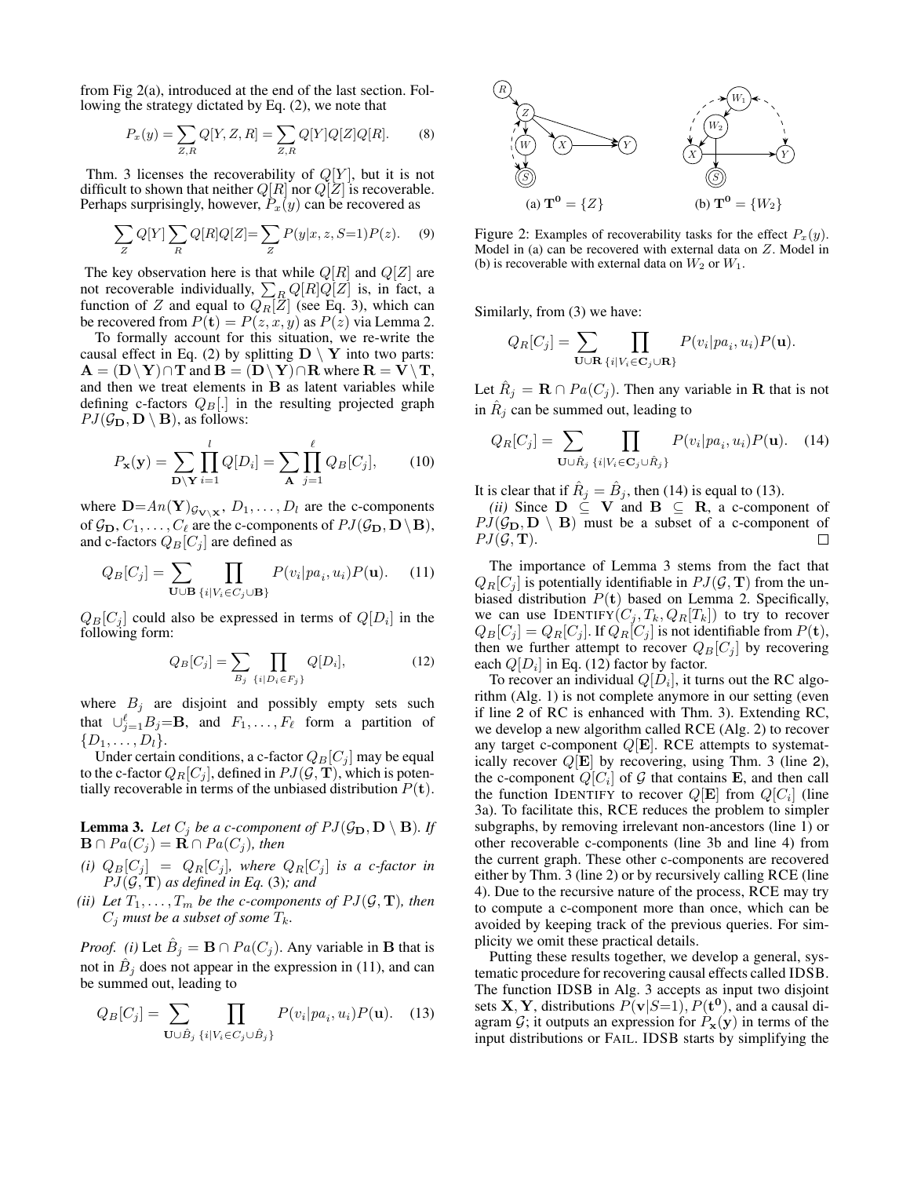from Fig 2(a), introduced at the end of the last section. Following the strategy dictated by Eq. (2), we note that

$$
P_x(y) = \sum_{Z,R} Q[Y, Z, R] = \sum_{Z,R} Q[Y]Q[Z]Q[R].
$$
 (8)

Thm. 3 licenses the recoverability of  $Q[Y]$ , but it is not difficult to shown that neither  $Q[R]$  nor  $Q[Z]$  is recoverable. Perhaps surprisingly, however,  $\dot{P}_x(y)$  can be recovered as

$$
\sum_{Z} Q[Y] \sum_{R} Q[R] Q[Z] = \sum_{Z} P(y|x, z, S=1) P(z). \tag{9}
$$

The key observation here is that while  $Q[R]$  and  $Q[Z]$  are not recoverable individually,  $\sum_R Q[R]Q[Z]$  is, in fact, a function of Z and equal to  $Q_R[\overline{Z}]$  (see Eq. 3), which can be recovered from  $P(\mathbf{t}) = P(z, x, y)$  as  $P(z)$  via Lemma 2.

To formally account for this situation, we re-write the causal effect in Eq. (2) by splitting  $\mathbf{D} \setminus \mathbf{Y}$  into two parts:  $A = (D \ Y) \cap T$  and  $B = (D \ Y) \cap R$  where  $R = V \ T$ , and then we treat elements in B as latent variables while defining c-factors  $Q_B$ . in the resulting projected graph  $PJ(\mathcal{G}_D, D \setminus B)$ , as follows:

$$
P_{\mathbf{x}}(\mathbf{y}) = \sum_{\mathbf{D} \setminus \mathbf{Y}} \prod_{i=1}^{l} Q[D_i] = \sum_{\mathbf{A}} \prod_{j=1}^{\ell} Q_B[C_j], \qquad (10)
$$

where  $\mathbf{D} = An(\mathbf{Y})_{\mathcal{G}_{\mathbf{V}\setminus\mathbf{X}}}, D_1, \ldots, D_l$  are the c-components of  $\mathcal{G}_{\mathbf{D}}, C_1, \ldots, C_\ell$  are the c-components of  $PJ(\mathcal{G}_{\mathbf{D}}, \mathbf{D}\setminus \mathbf{B}),$ and c-factors  $Q_B[C_j]$  are defined as

$$
Q_B[C_j] = \sum_{\mathbf{U} \cup \mathbf{B}} \prod_{\{i \mid V_i \in C_j \cup \mathbf{B}\}} P(v_i | pa_i, u_i) P(\mathbf{u}). \tag{11}
$$

 $Q_B[C_j]$  could also be expressed in terms of  $Q[D_i]$  in the following form:

$$
Q_B[C_j] = \sum_{B_j} \prod_{\{i \mid D_i \in F_j\}} Q[D_i], \tag{12}
$$

where  $B_j$  are disjoint and possibly empty sets such that  $\bigcup_{j=1}^{\ell} B_j = \mathbf{B}$ , and  $F_1, \ldots, F_{\ell}$  form a partition of  $\{D_1,\ldots,D_l\}.$ 

Under certain conditions, a c-factor  $Q_B[C_i]$  may be equal to the c-factor  $Q_R[C_j]$ , defined in  $PJ(\mathcal{G}, \mathbf{T})$ , which is potentially recoverable in terms of the unbiased distribution  $P(\mathbf{t})$ .

**Lemma 3.** Let  $C_i$  be a c-component of  $PI(\mathcal{G}_D, D \setminus B)$ . If  $\mathbf{B} \cap Pa(C_i) = \mathbf{R} \cap Pa(C_i)$ , then

- *(i)*  $Q_B[C_j] = Q_R[C_j]$ *, where*  $Q_R[C_j]$  *is a c-factor in*  $PJ(\mathcal{G}, \mathbf{T})$  as defined in Eq. (3); and
- *(ii) Let*  $T_1, \ldots, T_m$  *be the c-components of*  $PI(\mathcal{G}, \mathbf{T})$ *, then*  $C_j$  *must be a subset of some*  $T_k$ *.*

*Proof. (i)* Let  $\hat{B}_j = \mathbf{B} \cap Pa(C_j)$ . Any variable in **B** that is not in  $\hat{B}_j$  does not appear in the expression in (11), and can be summed out, leading to

$$
Q_B[C_j] = \sum_{\mathbf{U} \cup \hat{B}_j} \prod_{\{i \mid V_i \in C_j \cup \hat{B}_j\}} P(v_i | pa_i, u_i) P(\mathbf{u}). \quad (13)
$$



Figure 2: Examples of recoverability tasks for the effect  $P_x(y)$ . Model in (a) can be recovered with external data on Z. Model in (b) is recoverable with external data on  $W_2$  or  $W_1$ .

Similarly, from (3) we have:

$$
Q_R[C_j] = \sum_{\mathbf{U} \cup \mathbf{R}} \prod_{\{i \mid V_i \in \mathbf{C}_j \cup \mathbf{R}\}} P(v_i | pa_i, u_i) P(\mathbf{u}).
$$

Let  $\hat{R}_j = \mathbf{R} \cap Pa(C_j)$ . Then any variable in **R** that is not in  $\hat{R}_j$  can be summed out, leading to

$$
Q_R[C_j] = \sum_{\mathbf{U} \cup \hat{R}_j} \prod_{\{i \mid V_i \in \mathbf{C}_j \cup \hat{R}_j\}} P(v_i | pa_i, u_i) P(\mathbf{u}). \quad (14)
$$

It is clear that if  $\hat{R}_j = \hat{B}_j$ , then (14) is equal to (13).

*(ii)* Since  $D \subseteq V$  and  $B \subseteq R$ , a c-component of  $PJ(\mathcal{G}_D, D \setminus B)$  must be a subset of a c-component of  $PJ(\mathcal{G}, T)$ .  $PJ(\mathcal{G}, \mathbf{T}).$ 

The importance of Lemma 3 stems from the fact that  $Q_R[C_i]$  is potentially identifiable in  $PJ(\mathcal{G}, \mathbf{T})$  from the unbiased distribution  $P(t)$  based on Lemma 2. Specifically, we can use IDENTIFY $(C_j, T_k, Q_R[T_k])$  to try to recover  $Q_B[C_j] = Q_R[C_j]$ . If  $Q_R[C_j]$  is not identifiable from  $P(\mathbf{t})$ , then we further attempt to recover  $Q_B[C_i]$  by recovering each  $Q[D_i]$  in Eq. (12) factor by factor.

To recover an individual  $Q[D_i]$ , it turns out the RC algorithm (Alg. 1) is not complete anymore in our setting (even if line 2 of RC is enhanced with Thm. 3). Extending RC, we develop a new algorithm called RCE (Alg. 2) to recover any target c-component  $Q[\mathbf{E}]$ . RCE attempts to systematically recover  $Q[\mathbf{E}]$  by recovering, using Thm. 3 (line 2), the c-component  $Q[C_i]$  of  $G$  that contains **E**, and then call the function IDENTIFY to recover  $Q[\mathbf{E}]$  from  $Q[C_i]$  (line 3a). To facilitate this, RCE reduces the problem to simpler subgraphs, by removing irrelevant non-ancestors (line 1) or other recoverable c-components (line 3b and line 4) from the current graph. These other c-components are recovered either by Thm. 3 (line 2) or by recursively calling RCE (line 4). Due to the recursive nature of the process, RCE may try to compute a c-component more than once, which can be avoided by keeping track of the previous queries. For simplicity we omit these practical details.

Putting these results together, we develop a general, systematic procedure for recovering causal effects called IDSB. The function IDSB in Alg. 3 accepts as input two disjoint sets **X**, **Y**, distributions  $P(\mathbf{v}|S=1)$ ,  $P(\mathbf{t^0})$ , and a causal diagram  $\mathcal{G}$ ; it outputs an expression for  $P_{\mathbf{x}}(\mathbf{y})$  in terms of the input distributions or FAIL. IDSB starts by simplifying the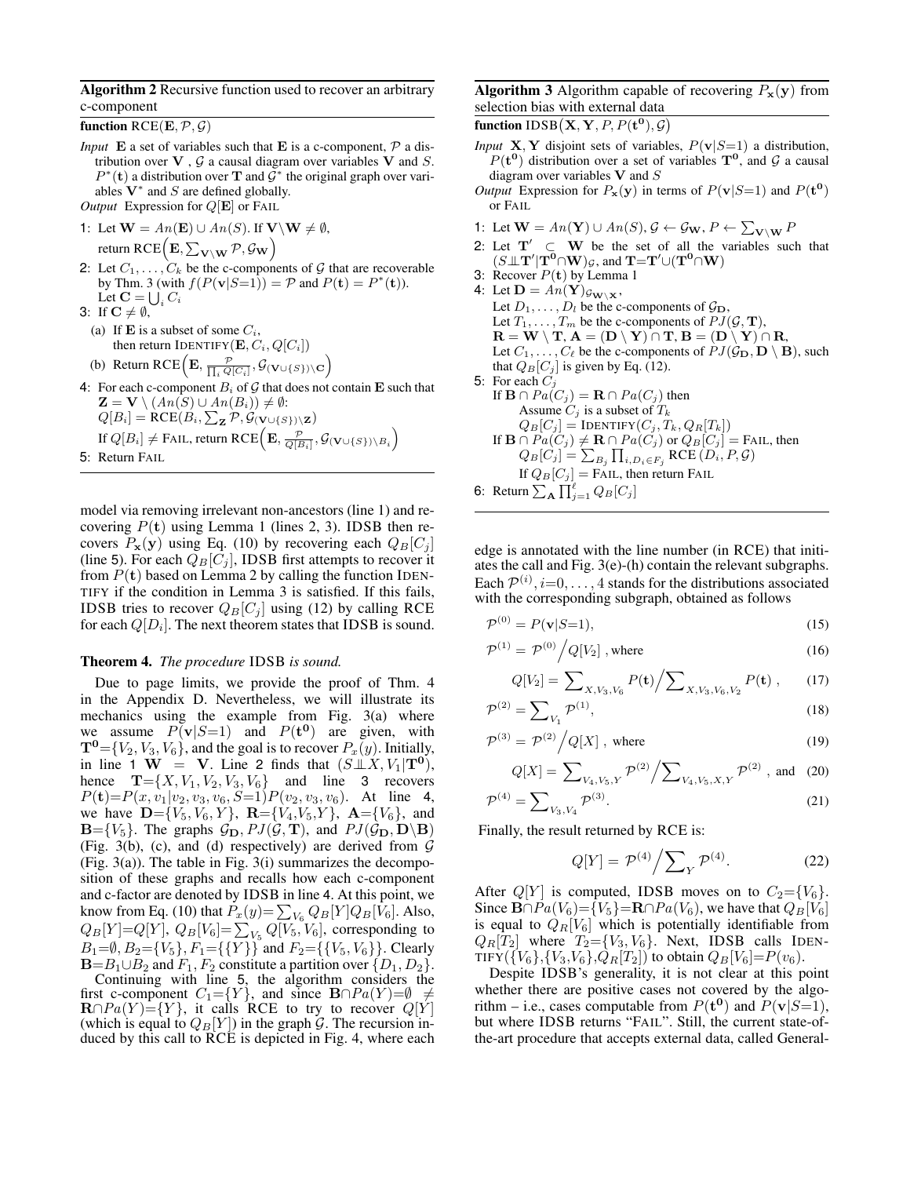Algorithm 2 Recursive function used to recover an arbitrary c-component

function RCE(E,  $P$ ,  $G$ )

*Input*  $\bf{E}$  a set of variables such that  $\bf{E}$  is a c-component,  $\mathcal P$  a distribution over  $V$ ,  $G$  a causal diagram over variables  $V$  and  $S$ .  $P^*(t)$  a distribution over **T** and  $\mathcal{G}^*$  the original graph over variables  $V^*$  and S are defined globally.

*Output* Expression for  $Q[\mathbf{E}]$  or FAIL

- 1: Let  $\mathbf{W} = An(\mathbf{E}) \cup An(S)$ . If  $\mathbf{V} \setminus \mathbf{W} \neq \emptyset$ , return RCE $\left(\textbf{E},\sum_{\textbf{V}\setminus\textbf{W}}\mathcal{P},\mathcal{G}_{\textbf{W}}\right)$
- 2: Let  $C_1, \ldots, C_k$  be the c-components of G that are recoverable by Thm. 3 (with  $f(P(\mathbf{v}|S=1)) = P$  and  $P(\mathbf{t}) = P^*(\mathbf{t})$ ). Let  $\mathbf{C} = \bigcup_i C_i$
- 3: If  $\mathbf{C} \neq \emptyset$ ,
	- (a) If  $\mathbf E$  is a subset of some  $C_i$ , then return IDENTIFY( $\mathbf{E}, C_i, Q[C_i]$ )
	- (b) Return RCE  $\left(\mathbf{E}, \frac{\mathcal{P}}{\prod_i Q[C_i]}, \mathcal{G}_{(\mathbf{V} \cup \{S\}) \setminus \mathbf{C}}\right)$
- 4: For each c-component  $B_i$  of  $G$  that does not contain  $E$  such that  $\mathbf{Z} = \mathbf{V} \setminus (An(S) \cup An(B_i)) \neq \emptyset$ :  $Q[B_i] = \text{RCE}(B_i, \sum_{\mathbf{Z}} \mathcal{P}, \mathcal{G}_{(\mathbf{V} \cup \{S\}) \setminus \mathbf{Z}})$ If  $Q[B_i] \neq$  Fail, return RCE  $\left(\mathbf{E}, \frac{\mathcal{P}}{Q[B_i]}, \mathcal{G}_{(\mathbf{V} \cup \{S\}) \setminus B_i}\right)$
- 5: Return FAIL

model via removing irrelevant non-ancestors (line 1) and recovering  $P(t)$  using Lemma 1 (lines 2, 3). IDSB then recovers  $P_x(y)$  using Eq. (10) by recovering each  $Q_B[C_j]$ (line 5). For each  $Q_B[C_i]$ , IDSB first attempts to recover it from  $P(t)$  based on Lemma 2 by calling the function IDEN-TIFY if the condition in Lemma 3 is satisfied. If this fails, IDSB tries to recover  $Q_B[C_j]$  using (12) by calling RCE for each  $Q[D_i]$ . The next theorem states that IDSB is sound.

#### Theorem 4. *The procedure* IDSB *is sound.*

Due to page limits, we provide the proof of Thm. 4 in the Appendix D. Nevertheless, we will illustrate its mechanics using the example from Fig. 3(a) where we assume  $P(v|S=1)$  and  $P(t^0)$  are given, with  $\mathbf{T}^0 = \{V_2, V_3, V_6\}$ , and the goal is to recover  $P_x(y)$ . Initially, in line 1 W = V. Line 2 finds that  $(S \perp X, V_1 | \mathbf{T}^0)$ , hence  $\mathbf{T} = \{X, V_1, V_2, V_3, V_6\}$  and line 3 recovers  $P(\mathbf{t})=P(x, v_1|v_2, v_3, v_6, S=1)P(v_2, v_3, v_6)$ . At line 4, we have  $\mathbf{D} = \{V_5, V_6, Y\}$ ,  $\mathbf{R} = \{V_4, V_5, Y\}$ ,  $\mathbf{A} = \{V_6\}$ , and  $\mathbf{B} = \{V_5\}$ . The graphs  $\mathcal{G}_{\mathbf{D}}, PJ(\mathcal{G}, \mathbf{T})$ , and  $PJ(\mathcal{G}_{\mathbf{D}}, \mathbf{D}\backslash \mathbf{B})$ (Fig. 3(b), (c), and (d) respectively) are derived from  $G$ (Fig.  $3(a)$ ). The table in Fig.  $3(i)$  summarizes the decomposition of these graphs and recalls how each c-component and c-factor are denoted by IDSB in line 4. At this point, we know from Eq. (10) that  $P_x(y) = \sum_{V_6} Q_B[Y] Q_B[V_6]$ . Also,  $Q_B[Y] = Q[Y]$ ,  $Q_B[V_6] = \sum_{V_5} Q[V_5, V_6]$ , corresponding to  $B_1=$ Ø,  $B_2=$ { $V_5$ },  $F_1=$ { $\{Y\}$ } and  $F_2=$ { $\{V_5, V_6\}$ }. Clearly  $\mathbf{B}=B_1\cup B_2$  and  $F_1, F_2$  constitute a partition over  $\{D_1, D_2\}.$ 

Continuing with line 5, the algorithm considers the first c-component  $C_1 = \{Y\}$ , and since  $\mathbf{B} \cap Pa(Y) = \emptyset$   $\neq$  $\mathbf{R} \cap Pa(Y) = \{Y\}$ , it calls RCE to try to recover  $Q[Y]$ (which is equal to  $Q_B[Y]$ ) in the graph G. The recursion induced by this call to RCE is depicted in Fig. 4, where each **Algorithm 3** Algorithm capable of recovering  $P_x(y)$  from selection bias with external data

function  $\text{IDSB}(\mathbf{X}, \mathbf{Y}, P, P(\mathbf{t^0}), \mathcal{G})$ 

- *Input*  $X, Y$  disjoint sets of variables,  $P(v|S=1)$  a distribution,  $P(\mathbf{t}^0)$  distribution over a set of variables  $\mathbf{T}^0$ , and  $\mathcal G$  a causal diagram over variables  $V$  and  $S$
- *Output* Expression for  $P_x(y)$  in terms of  $P(v|S=1)$  and  $P(t^0)$ or FAIL
- 1: Let  $\mathbf{W} = An(\mathbf{Y}) \cup An(S), \mathcal{G} \leftarrow \mathcal{G}_{\mathbf{W}}, P \leftarrow \sum_{\mathbf{V}\setminus \mathbf{W}} P$
- 2: Let  $T' \subset W$  be the set of all the variables such that  $(S \perp \!\!\! \perp T' | T^0 \cap W)_{\mathcal{G}}$ , and  $T = T' \cup (T^0 \cap W)$
- 3: Recover  $P(\mathbf{t})$  by Lemma 1
- 4: Let  $\mathbf{D} = An(\mathbf{Y})_{\mathcal{G}_{\mathbf{W}\setminus\mathbf{X}}},$ Let  $D_1, \ldots, D_l$  be the c-components of  $\mathcal{G}_D$ , Let  $T_1, \ldots, T_m$  be the c-components of  $PJ(\mathcal{G}, \mathbf{T}),$  $\mathbf{R} = \mathbf{W} \setminus \mathbf{T}, \mathbf{A} = (\mathbf{D} \setminus \mathbf{Y}) \cap \mathbf{T}, \mathbf{B} = (\mathbf{D} \setminus \mathbf{Y}) \cap \mathbf{R},$ Let  $C_1, \ldots, C_\ell$  be the c-components of  $PJ(\mathcal{G}_D, D \setminus B)$ , such that  $Q_B[C_j]$  is given by Eq. (12). 5: For each  $C_i$ If  $\mathbf{B} \cap Pa(C_i) = \mathbf{R} \cap Pa(C_i)$  then Assume  $C_i$  is a subset of  $T_k$  $Q_B[C_j] = \text{IDENTIFY}(C_j, T_k, Q_R[T_k])$ 
	- If  $\mathbf{B} \cap Pa(C_j) \neq \mathbf{R} \cap Pa(C_j)$  or  $Q_B[C_j] =$  FAIL, then  $Q_{B}[C_{j}] = \sum_{B_{j}} \prod_{i, D_{i} \in F_{j}} \text{RCE} \left ( D_{i}, P, \mathcal{G} \right )$ If  $Q_B[C_j] =$  FAIL, then return FAIL
- 6: Return  $\sum_{\mathbf{A}} \prod_{j=1}^{\ell} Q_B[C_j]$

edge is annotated with the line number (in RCE) that initiates the call and Fig. 3(e)-(h) contain the relevant subgraphs. Each  $\mathcal{P}^{(i)}$ ,  $i=0,\ldots,4$  stands for the distributions associated with the corresponding subgraph, obtained as follows

$$
\mathcal{P}^{(0)} = P(\mathbf{v}|S=1),\tag{15}
$$

$$
\mathcal{P}^{(1)} = \mathcal{P}^{(0)} / Q[V_2], \text{ where}
$$
 (16)

$$
Q[V_2] = \sum_{X, V_3, V_6} P(\mathbf{t}) / \sum_{X, V_3, V_6, V_2} P(\mathbf{t}) ,\qquad(17)
$$

$$
\mathcal{P}^{(2)} = \sum_{V_1} \mathcal{P}^{(1)},\tag{18}
$$

$$
\mathcal{P}^{(3)} = \mathcal{P}^{(2)} / Q[X], \text{ where}
$$
 (19)

$$
Q[X] = \sum_{V_4, V_5, Y} \mathcal{P}^{(2)} / \sum_{V_4, V_5, X, Y} \mathcal{P}^{(2)} , \text{ and } (20)
$$

$$
\mathcal{P}^{(4)} = \sum_{V_3, V_4} \mathcal{P}^{(3)}.
$$
 (21)

Finally, the result returned by RCE is:

$$
Q[Y] = \mathcal{P}^{(4)} / \sum_{Y} \mathcal{P}^{(4)}.
$$
 (22)

After  $Q[Y]$  is computed, IDSB moves on to  $C_2 = \{V_6\}.$ Since  $B \cap Pa(V_6) = \{V_5\} = \mathbb{R} \cap Pa(V_6)$ , we have that  $Q_B[V_6]$ is equal to  $Q_R[V_6]$  which is potentially identifiable from  $Q_R[T_2]$  where  $T_2 = \{V_3, V_6\}$ . Next, IDSB calls IDEN-TIFY( $\{V_6\}, \{V_3, V_6\}, Q_R[T_2]$ ) to obtain  $Q_B[V_6]=P(v_6)$ .

Despite IDSB's generality, it is not clear at this point whether there are positive cases not covered by the algorithm – i.e., cases computable from  $P(\mathbf{t}^0)$  and  $P(\mathbf{v}|S=1)$ , but where IDSB returns "FAIL". Still, the current state-ofthe-art procedure that accepts external data, called General-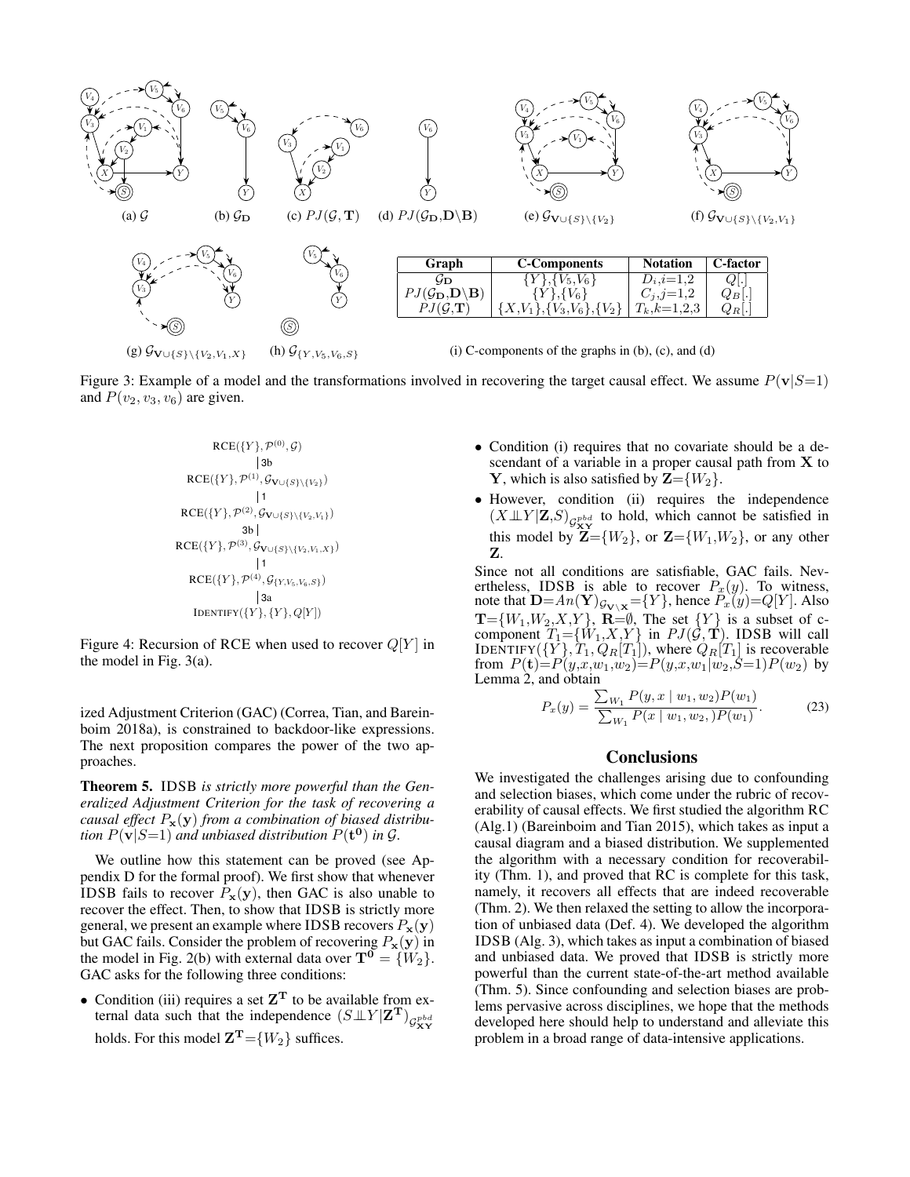

Figure 3: Example of a model and the transformations involved in recovering the target causal effect. We assume  $P(v|S=1)$ and  $P(v_2, v_3, v_6)$  are given.

$$
\begin{array}{c} \text{RCE}(\{Y\}, \mathcal{P}^{(0)}, \mathcal{G}) \\ \qquad \qquad \mid 3b \\ \text{RCE}(\{Y\}, \mathcal{P}^{(1)}, \mathcal{G}_{\mathbf{V}\cup\{S\}\setminus\{V_2\}}) \\ \qquad \qquad \mid \\ \text{RCE}(\{Y\}, \mathcal{P}^{(2)}, \mathcal{G}_{\mathbf{V}\cup\{S\}\setminus\{V_2, V_1\}}) \\ \qquad \qquad 3b \mid \\ \text{RCE}(\{Y\}, \mathcal{P}^{(3)}, \mathcal{G}_{\mathbf{V}\cup\{S\}\setminus\{V_2, V_1, X\}}) \\ \qquad \qquad \mid 1 \\ \text{RCE}(\{Y\}, \mathcal{P}^{(4)}, \mathcal{G}_{\{Y, V_5, V_6, S\}}) \\ \qquad \qquad \mid 3a \\ \text{IDENTIFY}(\{Y\}, \{Y\}, Q[Y]) \end{array}
$$

Figure 4: Recursion of RCE when used to recover  $Q[Y]$  in the model in Fig. 3(a).

ized Adjustment Criterion (GAC) (Correa, Tian, and Bareinboim 2018a), is constrained to backdoor-like expressions. The next proposition compares the power of the two approaches.

Theorem 5. IDSB *is strictly more powerful than the Generalized Adjustment Criterion for the task of recovering a causal effect* Px(y) *from a combination of biased distribution*  $P(\mathbf{v}|S=1)$  and unbiased distribution  $P(\mathbf{t^0})$  in  $\mathcal{G}$ .

We outline how this statement can be proved (see Appendix D for the formal proof). We first show that whenever IDSB fails to recover  $P_x(y)$ , then GAC is also unable to recover the effect. Then, to show that IDSB is strictly more general, we present an example where IDSB recovers  $P_x(y)$ but GAC fails. Consider the problem of recovering  $P_{\mathbf{x}}(\mathbf{y})$  in the model in Fig. 2(b) with external data over  $\mathbf{T}^{\overline{\mathbf{0}}} = {\overline{W}}_2$ . GAC asks for the following three conditions:

• Condition (iii) requires a set  $Z<sup>T</sup>$  to be available from external data such that the independence  $(S \bot\!\!\bot Y | \mathbf{Z^T})_{\mathcal{G}^{pbd}_{\mathbf{XY}}}$ holds. For this model  $\mathbf{Z^T} = \{W_2\}$  suffices.

- Condition (i) requires that no covariate should be a descendant of a variable in a proper causal path from  $X$  to **Y**, which is also satisfied by  $\mathbb{Z} = \{W_2\}$ .
- However, condition (ii) requires the independence  $(X \perp\!\!\!\perp Y | \mathbf{Z}, S)_{\mathcal{G}_{\mathbf{X}\mathbf{X}}^{pbd}}$  to hold, which cannot be satisfied in this model by  $\mathbf{Z} = \{W_2\}$ , or  $\mathbf{Z} = \{W_1, W_2\}$ , or any other Z.

Since not all conditions are satisfiable, GAC fails. Nevertheless, IDSB is able to recover  $P_x(y)$ . To witness, note that  $\mathbf{D} = An(\mathbf{Y})_{\mathcal{G}_{\mathbf{V}\setminus\mathbf{X}}} = \{Y\}$ , hence  $P_x(y) = Q[Y]$ . Also  $\mathbf{T} = \{W_1, W_2, X, Y\}$ ,  $\mathbf{R} = \emptyset$ , The set  $\{Y\}$  is a subset of ccomponent  $T_1 = \{W_1, X, Y\}$  in  $PI(\mathcal{G}, \mathbf{T})$ . IDSB will call IDENTIFY $({Y}, T_1, Q_R[T_1])$ , where  $Q_R[T_1]$  is recoverable from  $P(\mathbf{t})=P(y,x,w_1,w_2)=P(y,x,w_1|w_2,S=1)P(w_2)$  by Lemma 2, and obtain

$$
P_x(y) = \frac{\sum_{W_1} P(y, x \mid w_1, w_2) P(w_1)}{\sum_{W_1} P(x \mid w_1, w_2,) P(w_1)}.
$$
 (23)

#### **Conclusions**

We investigated the challenges arising due to confounding and selection biases, which come under the rubric of recoverability of causal effects. We first studied the algorithm RC (Alg.1) (Bareinboim and Tian 2015), which takes as input a causal diagram and a biased distribution. We supplemented the algorithm with a necessary condition for recoverability (Thm. 1), and proved that RC is complete for this task, namely, it recovers all effects that are indeed recoverable (Thm. 2). We then relaxed the setting to allow the incorporation of unbiased data (Def. 4). We developed the algorithm IDSB (Alg. 3), which takes as input a combination of biased and unbiased data. We proved that IDSB is strictly more powerful than the current state-of-the-art method available (Thm. 5). Since confounding and selection biases are problems pervasive across disciplines, we hope that the methods developed here should help to understand and alleviate this problem in a broad range of data-intensive applications.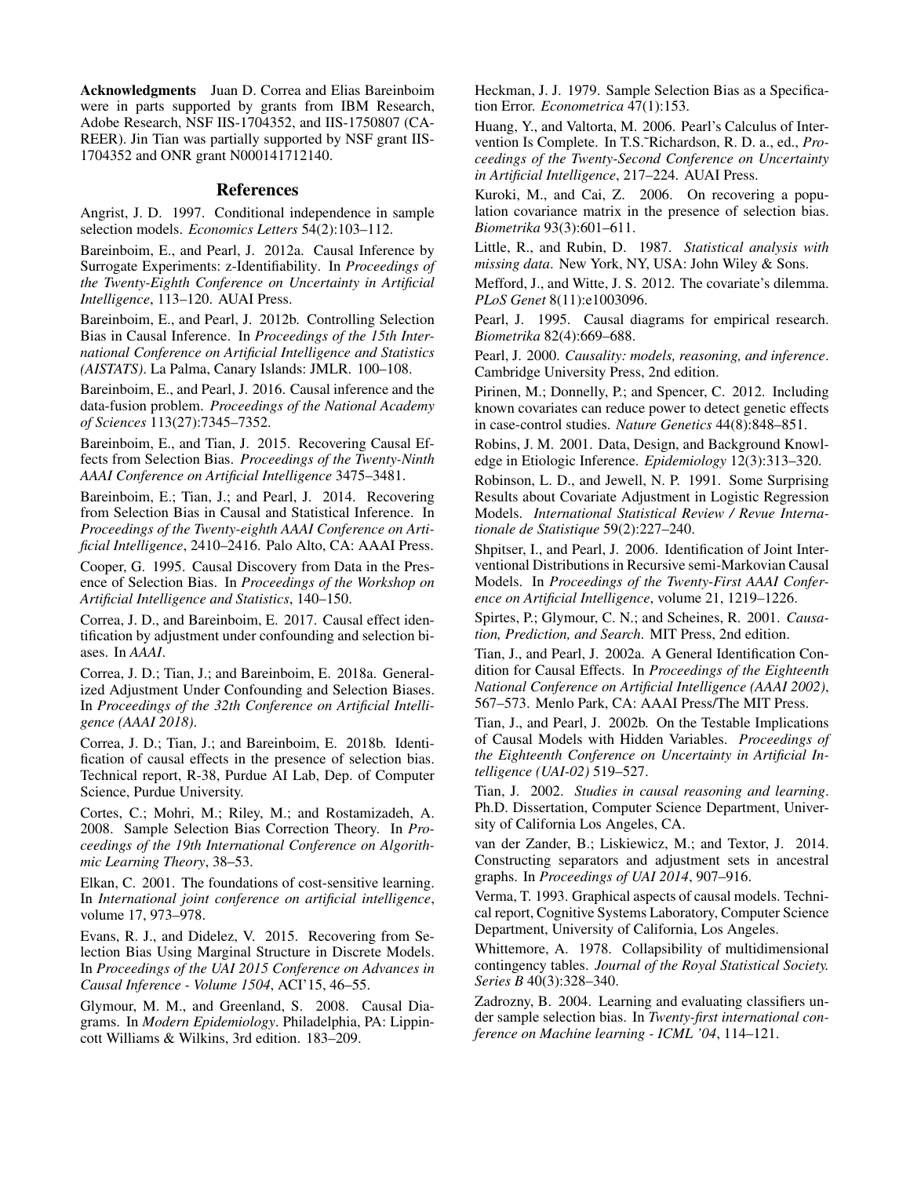Acknowledgments Juan D. Correa and Elias Bareinboim were in parts supported by grants from IBM Research, Adobe Research, NSF IIS-1704352, and IIS-1750807 (CA-REER). Jin Tian was partially supported by NSF grant IIS-1704352 and ONR grant N000141712140.

## References

Angrist, J. D. 1997. Conditional independence in sample selection models. *Economics Letters* 54(2):103–112.

Bareinboim, E., and Pearl, J. 2012a. Causal Inference by Surrogate Experiments: z-Identifiability. In *Proceedings of the Twenty-Eighth Conference on Uncertainty in Artificial Intelligence*, 113–120. AUAI Press.

Bareinboim, E., and Pearl, J. 2012b. Controlling Selection Bias in Causal Inference. In *Proceedings of the 15th International Conference on Artificial Intelligence and Statistics (AISTATS)*. La Palma, Canary Islands: JMLR. 100–108.

Bareinboim, E., and Pearl, J. 2016. Causal inference and the data-fusion problem. *Proceedings of the National Academy of Sciences* 113(27):7345–7352.

Bareinboim, E., and Tian, J. 2015. Recovering Causal Effects from Selection Bias. *Proceedings of the Twenty-Ninth AAAI Conference on Artificial Intelligence* 3475–3481.

Bareinboim, E.; Tian, J.; and Pearl, J. 2014. Recovering from Selection Bias in Causal and Statistical Inference. In *Proceedings of the Twenty-eighth AAAI Conference on Artificial Intelligence*, 2410–2416. Palo Alto, CA: AAAI Press.

Cooper, G. 1995. Causal Discovery from Data in the Presence of Selection Bias. In *Proceedings of the Workshop on Artificial Intelligence and Statistics*, 140–150.

Correa, J. D., and Bareinboim, E. 2017. Causal effect identification by adjustment under confounding and selection biases. In *AAAI*.

Correa, J. D.; Tian, J.; and Bareinboim, E. 2018a. Generalized Adjustment Under Confounding and Selection Biases. In *Proceedings of the 32th Conference on Artificial Intelligence (AAAI 2018)*.

Correa, J. D.; Tian, J.; and Bareinboim, E. 2018b. Identification of causal effects in the presence of selection bias. Technical report, R-38, Purdue AI Lab, Dep. of Computer Science, Purdue University.

Cortes, C.; Mohri, M.; Riley, M.; and Rostamizadeh, A. 2008. Sample Selection Bias Correction Theory. In *Proceedings of the 19th International Conference on Algorithmic Learning Theory*, 38–53.

Elkan, C. 2001. The foundations of cost-sensitive learning. In *International joint conference on artificial intelligence*, volume 17, 973–978.

Evans, R. J., and Didelez, V. 2015. Recovering from Selection Bias Using Marginal Structure in Discrete Models. In *Proceedings of the UAI 2015 Conference on Advances in Causal Inference - Volume 1504*, ACI'15, 46–55.

Glymour, M. M., and Greenland, S. 2008. Causal Diagrams. In *Modern Epidemiology*. Philadelphia, PA: Lippincott Williams & Wilkins, 3rd edition. 183–209.

Heckman, J. J. 1979. Sample Selection Bias as a Specification Error. *Econometrica* 47(1):153.

Huang, Y., and Valtorta, M. 2006. Pearl's Calculus of Intervention Is Complete. In T.S.˜Richardson, R. D. a., ed., *Proceedings of the Twenty-Second Conference on Uncertainty in Artificial Intelligence*, 217–224. AUAI Press.

Kuroki, M., and Cai, Z. 2006. On recovering a population covariance matrix in the presence of selection bias. *Biometrika* 93(3):601–611.

Little, R., and Rubin, D. 1987. *Statistical analysis with missing data*. New York, NY, USA: John Wiley & Sons.

Mefford, J., and Witte, J. S. 2012. The covariate's dilemma. *PLoS Genet* 8(11):e1003096.

Pearl, J. 1995. Causal diagrams for empirical research. *Biometrika* 82(4):669–688.

Pearl, J. 2000. *Causality: models, reasoning, and inference*. Cambridge University Press, 2nd edition.

Pirinen, M.; Donnelly, P.; and Spencer, C. 2012. Including known covariates can reduce power to detect genetic effects in case-control studies. *Nature Genetics* 44(8):848–851.

Robins, J. M. 2001. Data, Design, and Background Knowledge in Etiologic Inference. *Epidemiology* 12(3):313–320.

Robinson, L. D., and Jewell, N. P. 1991. Some Surprising Results about Covariate Adjustment in Logistic Regression Models. *International Statistical Review / Revue Internationale de Statistique* 59(2):227–240.

Shpitser, I., and Pearl, J. 2006. Identification of Joint Interventional Distributions in Recursive semi-Markovian Causal Models. In *Proceedings of the Twenty-First AAAI Conference on Artificial Intelligence*, volume 21, 1219–1226.

Spirtes, P.; Glymour, C. N.; and Scheines, R. 2001. *Causation, Prediction, and Search*. MIT Press, 2nd edition.

Tian, J., and Pearl, J. 2002a. A General Identification Condition for Causal Effects. In *Proceedings of the Eighteenth National Conference on Artificial Intelligence (AAAI 2002)*, 567–573. Menlo Park, CA: AAAI Press/The MIT Press.

Tian, J., and Pearl, J. 2002b. On the Testable Implications of Causal Models with Hidden Variables. *Proceedings of the Eighteenth Conference on Uncertainty in Artificial Intelligence (UAI-02)* 519–527.

Tian, J. 2002. *Studies in causal reasoning and learning*. Ph.D. Dissertation, Computer Science Department, University of California Los Angeles, CA.

van der Zander, B.; Liskiewicz, M.; and Textor, J. 2014. Constructing separators and adjustment sets in ancestral graphs. In *Proceedings of UAI 2014*, 907–916.

Verma, T. 1993. Graphical aspects of causal models. Technical report, Cognitive Systems Laboratory, Computer Science Department, University of California, Los Angeles.

Whittemore, A. 1978. Collapsibility of multidimensional contingency tables. *Journal of the Royal Statistical Society. Series B* 40(3):328–340.

Zadrozny, B. 2004. Learning and evaluating classifiers under sample selection bias. In *Twenty-first international conference on Machine learning - ICML '04*, 114–121.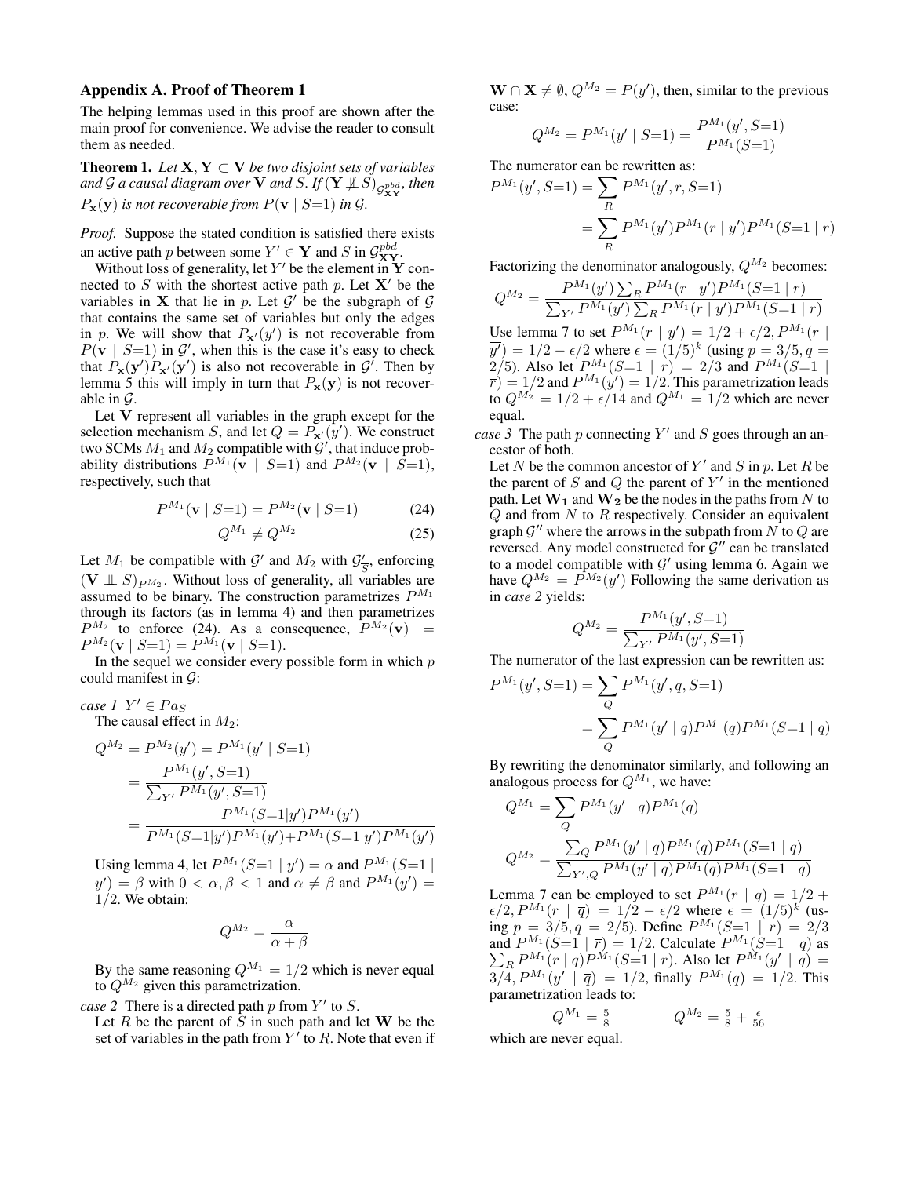#### Appendix A. Proof of Theorem 1

The helping lemmas used in this proof are shown after the main proof for convenience. We advise the reader to consult them as needed.

**Theorem 1.** *Let*  $X, Y ⊂ V$  *be two disjoint sets of variables* and  ${\cal G}$  a causal diagram over  ${\bf V}$  and  $S$ . If  $({\bf Y} \not\perp S)_{\mathcal{G}_{\bf XY}^{pbd}}$  , then  $P_{\mathbf{x}}(\mathbf{y})$  *is not recoverable from*  $P(\mathbf{v} \mid S=1)$  *in G.* 

*Proof.* Suppose the stated condition is satisfied there exists an active path p between some  $Y' \in Y$  and S in  $\mathcal{G}_{XY}^{pbd}$ .

Without loss of generality, let Y' be the element in  $\mathbf{\tilde{Y}}$  connected to S with the shortest active path p. Let  $X'$  be the variables in X that lie in p. Let  $G'$  be the subgraph of G that contains the same set of variables but only the edges in p. We will show that  $P_{\mathbf{x}'}(y')$  is not recoverable from  $P(\mathbf{v} \mid S=1)$  in  $\mathcal{G}'$ , when this is the case it's easy to check that  $P_{\mathbf{x}}(\mathbf{y}')P_{\mathbf{x}'}(\mathbf{y}')$  is also not recoverable in  $\mathcal{G}'$ . Then by lemma 5 this will imply in turn that  $P_{\mathbf{x}}(\mathbf{y})$  is not recoverable in  $\mathcal{G}$ .

Let V represent all variables in the graph except for the selection mechanism S, and let  $Q = P_{\mathbf{x}'}(y')$ . We construct two SCMs  $M_1$  and  $M_2$  compatible with  $\mathcal{G}'$ , that induce probability distributions  $P^{M_1}(\mathbf{v} \mid S=1)$  and  $P^{M_2}(\mathbf{v} \mid S=1)$ , respectively, such that

$$
P^{M_1}(\mathbf{v} \mid S=1) = P^{M_2}(\mathbf{v} \mid S=1) \tag{24}
$$

$$
Q^{M_1} \neq Q^{M_2} \tag{25}
$$

Let  $M_1$  be compatible with  $\mathcal{G}'$  and  $M_2$  with  $\mathcal{G}'_{\overline{Q}}$  $\frac{7}{s}$ , enforcing  $(V \perp\!\!\!\perp S)_{P^{M_2}}$ . Without loss of generality, all variables are assumed to be binary. The construction parametrizes  $P^{M_1}$ through its factors (as in lemma 4) and then parametrizes  $P^{M_2}$  to enforce (24). As a consequence,  $P^{M_2}(\mathbf{v})$  =  $P^{M_2}(\mathbf{v} \mid S=1) = P^{M_1}(\mathbf{v} \mid S=1).$ 

In the sequel we consider every possible form in which  $p$ could manifest in  $G$ :

$$
\textit{case 1 } Y' \in \textit{Pa}_S
$$

The causal effect in  $M_2$ :

$$
Q^{M_2} = P^{M_2}(y') = P^{M_1}(y' | S=1)
$$
  
= 
$$
\frac{P^{M_1}(y', S=1)}{\sum_{Y'} P^{M_1}(y', S=1)}
$$
  
= 
$$
\frac{P^{M_1}(S=1|y')P^{M_1}(y')}{P^{M_1}(S=1|y')P^{M_1}(y') + P^{M_1}(S=1|\overline{y'})P^{M_1}(\overline{y'})}
$$

Using lemma 4, let  $P^{M_1}(S=1 | y') = \alpha$  and  $P^{M_1}(S=1 |$  $\overline{y'}$  =  $\beta$  with  $0 < \alpha, \beta < 1$  and  $\alpha \neq \beta$  and  $P^{M_1}(y') =$  $1/2$ . We obtain:

$$
Q^{M_2} = \frac{\alpha}{\alpha + \beta}
$$

By the same reasoning  $Q^{M_1} = 1/2$  which is never equal to  $Q^{M_2}$  given this parametrization.

*case 2* There is a directed path  $p$  from  $Y'$  to  $S$ .

Let  $R$  be the parent of  $S$  in such path and let  $W$  be the set of variables in the path from  $Y^{\dagger}$  to R. Note that even if

 $\mathbf{W} \cap \mathbf{X} \neq \emptyset$ ,  $Q^{M_2} = P(y')$ , then, similar to the previous case:

$$
Q^{M_2} = P^{M_1}(y' | S=1) = \frac{P^{M_1}(y', S=1)}{P^{M_1}(S=1)}
$$

The numerator can be rewritten as:

$$
P^{M_1}(y', S=1) = \sum_{R} P^{M_1}(y', r, S=1)
$$
  
= 
$$
\sum_{R} P^{M_1}(y') P^{M_1}(r | y') P^{M_1}(S=1 | r)
$$

Factorizing the denominator analogously,  $Q^{M_2}$  becomes:

$$
Q^{M_2} = \frac{P^{M_1}(y') \sum_R P^{M_1}(r \mid y') P^{M_1}(S=1 \mid r)}{\sum_{Y'} P^{M_1}(y') \sum_R P^{M_1}(r \mid y') P^{M_1}(S=1 \mid r)}
$$

Use lemma 7 to set  $P^{M_1}(r | y') = 1/2 + \epsilon/2, P^{M_1}(r | y')$  $\overline{y'}$ ) = 1/2 –  $\epsilon$ /2 where  $\epsilon = (1/5)^k$  (using  $p = 3/5, q =$ 2/5). Also let  $P^{M_1}(S=1 | r) = 2/3$  and  $P^{M_1}(S=1 | r)$  $\overline{r}) = 1/2$  and  $P^{M_1}(y') = 1/2$ . This parametrization leads to  $Q^{M_2} = 1/2 + \epsilon/14$  and  $Q^{M_1} = 1/2$  which are never equal.

*case 3* The path  $p$  connecting  $Y'$  and  $S$  goes through an ancestor of both.

Let N be the common ancestor of Y' and S in p. Let R be the parent of  $S$  and  $Q$  the parent of  $Y'$  in the mentioned path. Let  $W_1$  and  $W_2$  be the nodes in the paths from N to  $Q$  and from  $N$  to  $R$  respectively. Consider an equivalent graph  $\mathcal{G}''$  where the arrows in the subpath from  $N$  to  $Q$  are reversed. Any model constructed for  $\mathcal{G}''$  can be translated to a model compatible with  $G'$  using lemma 6. Again we have  $Q^{M_2} = \tilde{P}^{M_2}(y')$  Following the same derivation as in *case 2* yields:

$$
Q^{M_2} = \frac{P^{M_1}(y', S=1)}{\sum_{Y'} P^{M_1}(y', S=1)}
$$

The numerator of the last expression can be rewritten as:

$$
P^{M_1}(y', S=1) = \sum_{Q} P^{M_1}(y', q, S=1)
$$
  
= 
$$
\sum_{Q} P^{M_1}(y' | q) P^{M_1}(q) P^{M_1}(S=1 | q)
$$

By rewriting the denominator similarly, and following an analogous process for  $Q^{M_1}$ , we have:

$$
Q^{M_1} = \sum_{Q} P^{M_1}(y' \mid q) P^{M_1}(q)
$$
  

$$
Q^{M_2} = \frac{\sum_{Q} P^{M_1}(y' \mid q) P^{M_1}(q) P^{M_1}(S=1 \mid q)}{\sum_{Y',Q} P^{M_1}(y' \mid q) P^{M_1}(q) P^{M_1}(S=1 \mid q)}
$$

Lemma 7 can be employed to set  $P^{M_1}(r \mid q) = 1/2 +$  $\epsilon/2$ ,  $P^{M_1}(r \mid \overline{q}) = 1/2 - \epsilon/2$  where  $\epsilon = (1/5)^k$  (using  $p = 3/5, q = 2/5$ ). Define  $P^{M_1}(S=1 | r) = 2/3$ and  $P^{M_1}(S=1 \mid \overline{r}) = 1/2$ . Calculate  $P^{M_1}$ P  $(S=1 | q)$  as  $R P^{M_1}(r | q) P^{M_1}(S=1 | r)$ . Also let  $P^{M_1}(y' | q) =$  $3/4, P^{M_1}(y' \mid \overline{q}) = 1/2$ , finally  $P^{M_1}(q) = 1/2$ . This parametrization leads to:

$$
Q^{M_1} = \frac{5}{8} \qquad \qquad Q^{M_2} = \frac{5}{8} + \frac{\epsilon}{56}
$$

which are never equal.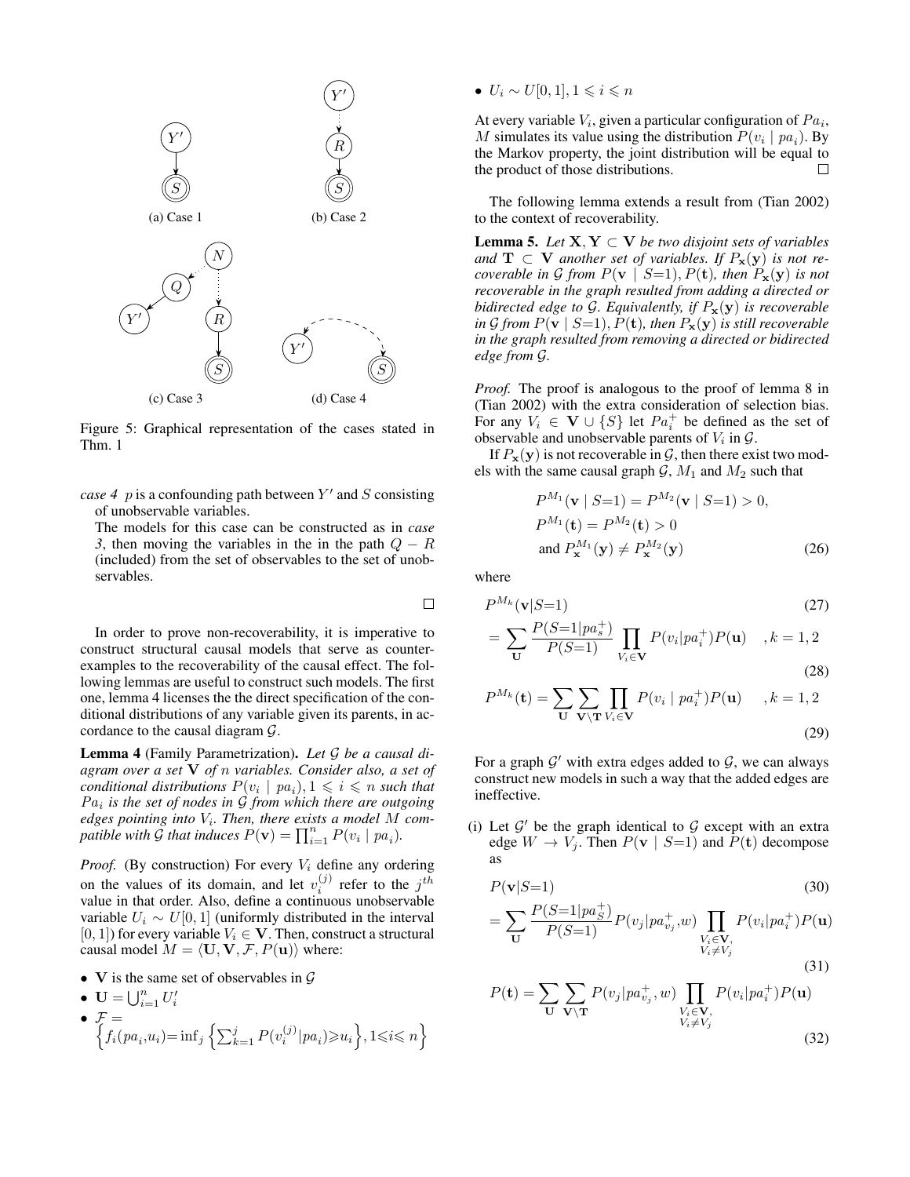

Figure 5: Graphical representation of the cases stated in Thm. 1

*case 4*  $p$  is a confounding path between  $Y'$  and  $S$  consisting of unobservable variables.

The models for this case can be constructed as in *case 3*, then moving the variables in the in the path  $Q - R$ (included) from the set of observables to the set of unobservables.

In order to prove non-recoverability, it is imperative to construct structural causal models that serve as counterexamples to the recoverability of the causal effect. The following lemmas are useful to construct such models. The first one, lemma 4 licenses the the direct specification of the conditional distributions of any variable given its parents, in accordance to the causal diagram G.

Lemma 4 (Family Parametrization). *Let* G *be a causal diagram over a set* V *of* n *variables. Consider also, a set of conditional distributions*  $P(v_i | pa_i), 1 \leqslant i \leqslant n$  *such that* Pa<sup>i</sup> *is the set of nodes in* G *from which there are outgoing* edges pointing into  $V_i$ . Then, there exists a model M compatible with  $\mathcal G$  that induces  $P(\mathbf{v}) = \prod_{i=1}^n P(v_i \mid pa_i)$ .

*Proof.* (By construction) For every  $V_i$  define any ordering on the values of its domain, and let  $v_i^{(j)}$  refer to the  $j^{th}$ value in that order. Also, define a continuous unobservable variable  $U_i \sim U[0, 1]$  (uniformly distributed in the interval [0, 1]) for every variable  $V_i \in \mathbf{V}$ . Then, construct a structural causal model  $M = \langle \mathbf{U}, \mathbf{V}, \mathcal{F}, P(\mathbf{u}) \rangle$  where:

- V is the same set of observables in  $G$
- $\mathbf{U} = \bigcup_{i=1}^n U'_i$ •  $\mathcal{F} = \left\{ f_i(pa_i, u_i) = \inf_j \left\{ \sum_{k=1}^j P(v_i^{(j)}|pa_i) \geqslant u_i \right\}, 1 \leqslant i \leqslant n \right\}$

•  $U_i \sim U[0,1], 1 \leq i \leq n$ 

At every variable  $V_i$ , given a particular configuration of  $Pa_i$ , M simulates its value using the distribution  $P(v_i | pa_i)$ . By the Markov property, the joint distribution will be equal to the product of those distributions.  $\Box$ 

The following lemma extends a result from (Tian 2002) to the context of recoverability.

**Lemma 5.** *Let*  $X, Y \subset V$  *be two disjoint sets of variables and*  $\mathbf{T} \subset \mathbf{V}$  *another set of variables. If*  $P_{\mathbf{x}}(\mathbf{y})$  *is not recoverable in G from*  $P(\mathbf{v} \mid S=1), P(\mathbf{t})$ *, then*  $P_{\mathbf{x}}(\mathbf{y})$  *is not recoverable in the graph resulted from adding a directed or bidirected edge to G. Equivalently, if*  $P_{\mathbf{x}}(\mathbf{y})$  *is recoverable in*  $\mathcal{G}$  *from*  $P(\mathbf{v} | S=1), P(\mathbf{t})$ *, then*  $P_{\mathbf{x}}(\mathbf{y})$  *is still recoverable in the graph resulted from removing a directed or bidirected edge from* G*.*

*Proof.* The proof is analogous to the proof of lemma 8 in (Tian 2002) with the extra consideration of selection bias. For any  $V_i \in \mathbf{V} \cup \{S\}$  let  $Pa_i^+$  be defined as the set of observable and unobservable parents of  $V_i$  in  $\mathcal{G}$ .

If  $P_x(y)$  is not recoverable in G, then there exist two models with the same causal graph  $G$ ,  $M_1$  and  $M_2$  such that

$$
P^{M_1}(\mathbf{v} \mid S=1) = P^{M_2}(\mathbf{v} \mid S=1) > 0,
$$
  
\n
$$
P^{M_1}(\mathbf{t}) = P^{M_2}(\mathbf{t}) > 0
$$
  
\nand 
$$
P_{\mathbf{x}}^{M_1}(\mathbf{y}) \neq P_{\mathbf{x}}^{M_2}(\mathbf{y})
$$
 (26)

where

 $\Box$ 

$$
P^{M_k}(\mathbf{v}|S=1) \tag{27}
$$

$$
= \sum_{\mathbf{U}} \frac{P(S=1|pa_s^+)}{P(S=1)} \prod_{V_i \in \mathbf{V}} P(v_i|pa_i^+) P(\mathbf{u}) \quad , k = 1, 2
$$
\n(28)

$$
P^{M_k}(\mathbf{t}) = \sum_{\mathbf{U}} \sum_{\mathbf{V} \setminus \mathbf{T}} \prod_{V_i \in \mathbf{V}} P(v_i \mid pa_i^+) P(\mathbf{u}) \qquad, k = 1, 2
$$
\n(29)

For a graph  $\mathcal{G}'$  with extra edges added to  $\mathcal{G}$ , we can always construct new models in such a way that the added edges are ineffective.

(i) Let  $\mathcal{G}'$  be the graph identical to  $\mathcal{G}$  except with an extra edge  $W \to V_j$ . Then  $P(\mathbf{v} \mid S=1)$  and  $P(\mathbf{t})$  decompose as

$$
P(\mathbf{v}|S=1) \tag{30}
$$

$$
= \sum_{\mathbf{U}} \frac{P(S=1|pa_S^+)}{P(S=1)} P(v_j|pa_{v_j}^+, w) \prod_{\substack{V_i \in \mathbf{V}, \\ V_i \neq V_j}} P(v_i|pa_i^+) P(\mathbf{u})
$$
\n(31)

$$
P(\mathbf{t}) = \sum_{\mathbf{U}} \sum_{\mathbf{V} \setminus \mathbf{T}} P(v_j | pa_{v_j}^+, w) \prod_{\substack{V_i \in \mathbf{V}, \\ V_i \neq V_j}} P(v_i | pa_i^+) P(\mathbf{u})
$$
\n(32)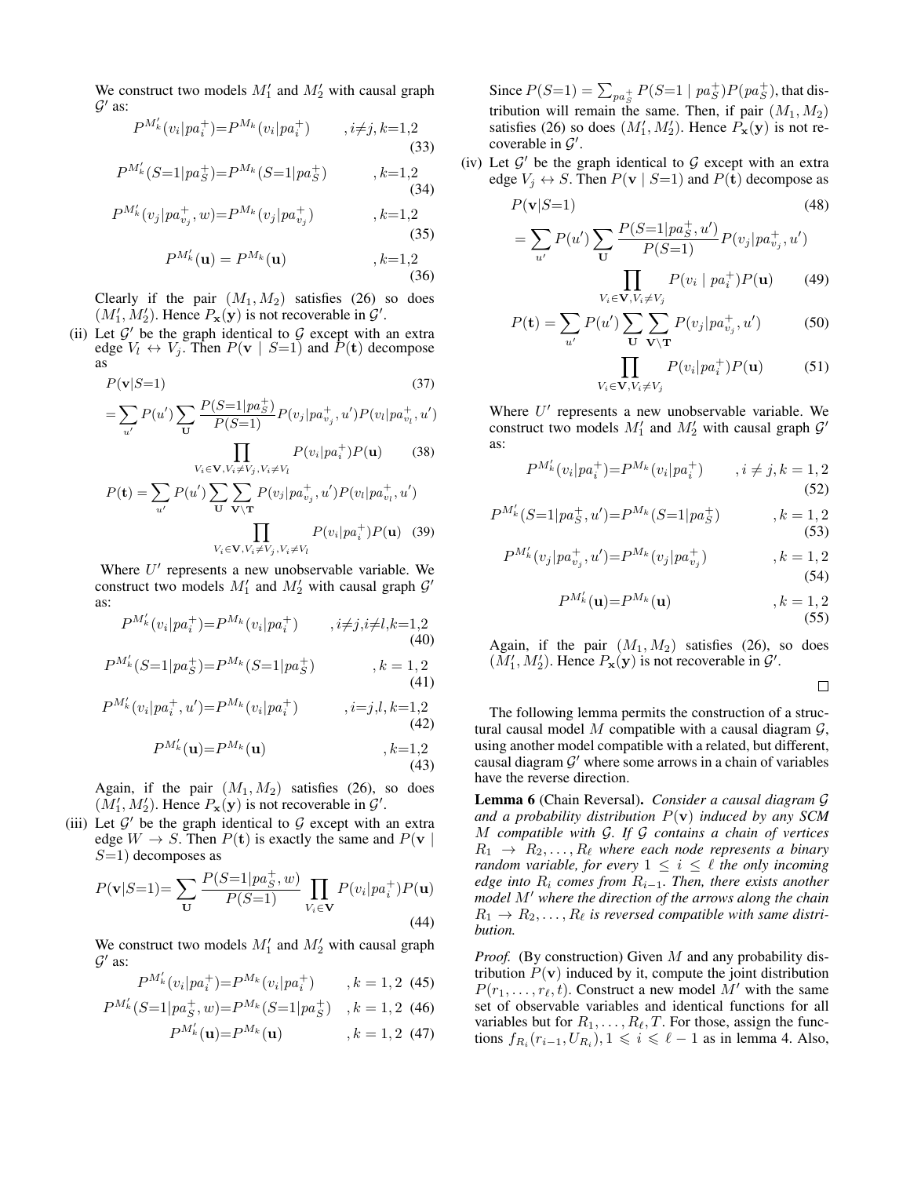We construct two models  $M'_1$  and  $M'_2$  with causal graph  $\mathcal{G}'$  as:

$$
P^{M'_k}(v_i|pa_i^+) = P^{M_k}(v_i|pa_i^+) \qquad , i \neq j, k = 1, 2
$$
\n(33)

$$
P^{M'_k}(S=1|pa^+_S) = P^{M_k}(S=1|pa^+_S) \qquad , k=1,2
$$
\n(34)

$$
P^{M'_k}(v_j|pa_{v_j}^+,w) = P^{M_k}(v_j|pa_{v_j}^+)\qquad \qquad ,k=1,2
$$
\n(35)

$$
P^{M'_k}(\mathbf{u}) = P^{M_k}(\mathbf{u}) \qquad , k=1,2
$$
\n(36)

Clearly if the pair  $(M_1, M_2)$  satisfies (26) so does  $(M'_1, M'_2)$ . Hence  $P_x(y)$  is not recoverable in  $\mathcal{G}'$ .

(ii) Let  $\mathcal{G}'$  be the graph identical to  $\mathcal G$  except with an extra edge  $V_l \leftrightarrow V_j$ . Then  $P(\mathbf{v} \mid S=1)$  and  $P(\mathbf{t})$  decompose as

$$
P(\mathbf{v}|S=1) \tag{37}
$$

$$
= \sum_{u'} P(u') \sum_{\mathbf{U}} \frac{P(S=1|pa_S^+)}{P(S=1)} P(v_j|pa_{v_j}^+, u') P(v_l|pa_{v_l}^+, u')
$$

$$
\prod_{V_i \in \mathbf{V}, V_i \neq V_i, V_i \neq V_i} P(v_i|pa_i^+) P(\mathbf{u})
$$
(38)

$$
P(\mathbf{t}) = \sum_{u'} P(u') \sum_{\mathbf{U}} \sum_{\mathbf{V} \setminus \mathbf{T}} P(v_j | pa_{v_j}^+, u') P(v_l | pa_{v_l}^+, u')
$$

$$
\prod_{V_i \in \mathbf{V}, V_i \neq V_j, V_i \neq V_l} P(v_i | pa_i^+) P(\mathbf{u}) \quad (39)
$$

Where  $U'$  represents a new unobservable variable. We construct two models  $M'_1$  and  $M'_2$  with causal graph  $\mathcal{G}'$ as:

$$
P^{M'_k}(v_i|pa_i^+) = P^{M_k}(v_i|pa_i^+) \qquad , i \neq j, i \neq l, k = 1,2
$$
  
(40)

$$
P^{M'_k}(S=1|pa_S^+) = P^{M_k}(S=1|pa_S^+) \qquad , k = 1,2
$$
\n(41)

$$
P^{M'_{k}}(v_{i}|pa_{i}^{+},u') = P^{M_{k}}(v_{i}|pa_{i}^{+}) \qquad , i=j,l, k=1,2
$$
\n(42)

$$
P^{M'_k}(\mathbf{u}) = P^{M_k}(\mathbf{u}) \qquad \qquad , k=1,2 \tag{43}
$$

Again, if the pair  $(M_1, M_2)$  satisfies (26), so does  $(M'_1, M'_2)$ . Hence  $P_{\mathbf{x}}(\mathbf{y})$  is not recoverable in  $\mathcal{G}'$ .

(iii) Let  $\mathcal{G}'$  be the graph identical to  $\mathcal G$  except with an extra edge  $W \to S$ . Then  $P(\mathbf{t})$  is exactly the same and  $P(\mathbf{v} | \mathbf{t})$  $S=1$ ) decomposes as

$$
P(\mathbf{v}|S=1) = \sum_{\mathbf{U}} \frac{P(S=1|pa_S^+, w)}{P(S=1)} \prod_{V_i \in \mathbf{V}} P(v_i|pa_i^+) P(\mathbf{u})
$$
(44)

We construct two models  $M'_1$  and  $M'_2$  with causal graph  $\mathcal{G}'$  as: M<sup>k</sup>

$$
P^{M'_k}(v_i|pa_i^+) = P^{M_k}(v_i|pa_i^+) \qquad , k = 1,2 \tag{45}
$$

$$
P^{M'_{k}}(S=1|pa_{S}^{+},w) = P^{M_{k}}(S=1|pa_{S}^{+}) \quad ,k=1,2 \eqno(46)
$$

$$
P^{M'_{k}}(\mathbf{u}) = P^{M_{k}}(\mathbf{u}) \qquad , k = 1, 2 \tag{47}
$$

Since  $P(S=1) = \sum_{pa_S^+} P(S=1 | pa_S^+) P(pa_S^+)$ , that distribution will remain the same. Then, if pair  $(M_1, M_2)$ satisfies (26) so does  $(M'_1, M'_2)$ . Hence  $\tilde{P}_{\mathbf{x}}(\mathbf{y})$  is not recoverable in  $\mathcal{G}'$ .

(iv) Let  $\mathcal{G}'$  be the graph identical to  $\mathcal G$  except with an extra edge  $V_j \leftrightarrow S$ . Then  $P(\mathbf{v} \mid S=1)$  and  $P(\mathbf{t})$  decompose as

$$
P(\mathbf{v}|S=1) \tag{48}
$$

$$
= \sum_{u'} P(u') \sum_{\mathbf{U}} \frac{P(S=1|pa_S^+, u')}{P(S=1)} P(v_j|pa_{v_j}^+, u')
$$

$$
\prod_{V_i \in \mathbf{V}, V_i \neq V_j} P(v_i | pa_i^+) P(\mathbf{u}) \qquad (49)
$$

$$
P(\mathbf{t}) = \sum_{u'} P(u') \sum_{\mathbf{U}} \sum_{\mathbf{V} \setminus \mathbf{T}} P(v_j | pa_{v_j}^+, u') \tag{50}
$$

$$
\prod_{V_i \in \mathbf{V}, V_i \neq V_j} P(v_i | pa_i^+) P(\mathbf{u}) \tag{51}
$$

Where  $U'$  represents a new unobservable variable. We construct two models  $M'_1$  and  $M'_2$  with causal graph  $\mathcal{G}'$ as:

$$
P^{M'_{k}}(v_{i}|pa_{i}^{+})=P^{M_{k}}(v_{i}|pa_{i}^{+}) \qquad , i \neq j, k = 1, 2
$$
\n(52)

$$
P^{M'_{k}}(S=1|pa_{S}^{+},u') = P^{M_{k}}(S=1|pa_{S}^{+}) \qquad ,k = 1,2
$$
\n(53)

$$
P^{M'_{k}}(v_{j}|pa_{v_{j}}^{+},u') = P^{M_{k}}(v_{j}|pa_{v_{j}}^{+}) \qquad , k = 1,2
$$
\n(54)

$$
P^{M'_{k}}(\mathbf{u}) = P^{M_{k}}(\mathbf{u}) \qquad , k = 1, 2
$$
\n(55)

Again, if the pair  $(M_1, M_2)$  satisfies (26), so does  $(M'_1, M'_2)$ . Hence  $P_{\mathbf{x}}(\mathbf{y})$  is not recoverable in  $\mathcal{G}'$ .

$$
\qquad \qquad \Box
$$

The following lemma permits the construction of a structural causal model M compatible with a causal diagram  $\mathcal{G}$ , using another model compatible with a related, but different, causal diagram  $G'$  where some arrows in a chain of variables have the reverse direction.

Lemma 6 (Chain Reversal). *Consider a causal diagram* G *and a probability distribution* P(v) *induced by any SCM* M *compatible with* G*. If* G *contains a chain of vertices*  $R_1 \rightarrow R_2, \ldots, R_\ell$  *where each node represents a binary random variable, for every*  $1 \leq i \leq \ell$  *the only incoming edge into* R<sup>i</sup> *comes from* Ri−1*. Then, there exists another model M'* where the direction of the arrows along the chain  $R_1 \rightarrow R_2, \ldots, R_\ell$  is reversed compatible with same distri*bution.*

*Proof.* (By construction) Given M and any probability distribution  $P(\mathbf{v})$  induced by it, compute the joint distribution  $P(r_1, \ldots, r_\ell, t)$ . Construct a new model M' with the same set of observable variables and identical functions for all variables but for  $R_1, \ldots, R_\ell, T$ . For those, assign the functions  $f_{R_i}(r_{i-1}, U_{R_i})$ ,  $1 \leq i \leq \ell - 1$  as in lemma 4. Also,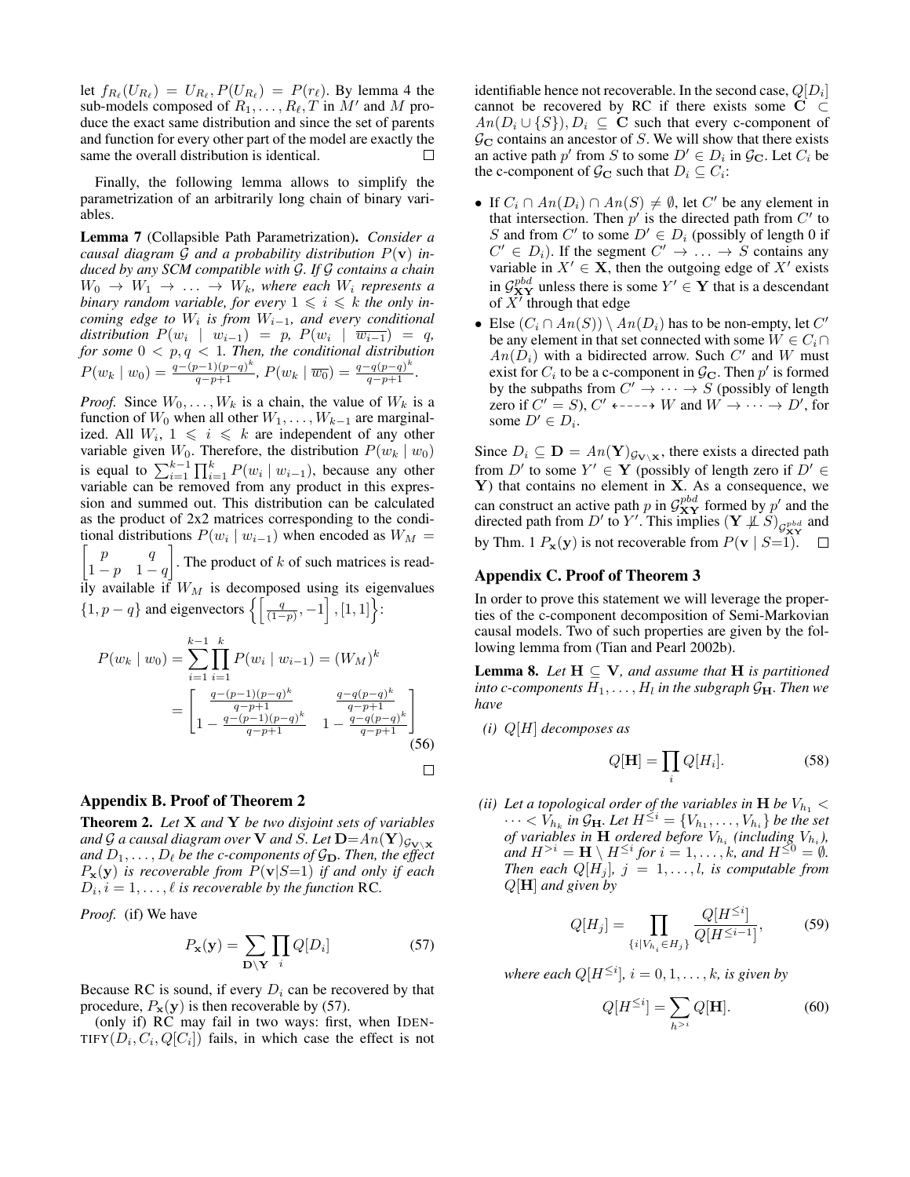let  $f_{R_\ell}(U_{R_\ell}) = U_{R_\ell}, P(U_{R_\ell}) = P(r_\ell)$ . By lemma 4 the sub-models composed of  $R_1, \ldots, R_\ell, T$  in M' and M produce the exact same distribution and since the set of parents and function for every other part of the model are exactly the same the overall distribution is identical. П

Finally, the following lemma allows to simplify the parametrization of an arbitrarily long chain of binary variables.

Lemma 7 (Collapsible Path Parametrization). *Consider a causal diagram*  $\mathcal G$  *and a probability distribution*  $P(\mathbf{v})$  *induced by any SCM compatible with* G*. If* G *contains a chain*  $W_0 \rightarrow W_1 \rightarrow \ldots \rightarrow W_k$ , where each  $W_i$  represents a *binary random variable, for every*  $1 \leq i \leq k$  *the only incoming edge to* W<sup>i</sup> *is from* Wi−1*, and every conditional*  $distribution P(w_i \mid w_{i-1}) = p, P(w_i \mid \overline{w_{i-1}}) = q,$ *for some* 0 < p, q < 1*. Then, the conditional distribution*  $P(w_k | w_0) = \frac{q - (p-1)(p-q)^k}{q - p + 1}, P(w_k | \overline{w_0}) = \frac{q - q(p-q)^k}{q - p + 1}.$ 

*Proof.* Since  $W_0, \ldots, W_k$  is a chain, the value of  $W_k$  is a function of  $W_0$  when all other  $W_1, \ldots, W_{k-1}$  are marginalized. All  $W_i$ ,  $1 \leq i \leq k$  are independent of any other variable given  $W_0$ . Therefore, the distribution  $P(w_k | w_0)$ is equal to  $\sum_{i=1}^{k-1} \prod_{i=1}^{k} P(w_i | w_{i-1})$ , because any other variable can be removed from any product in this expression and summed out. This distribution can be calculated as the product of 2x2 matrices corresponding to the conditional distributions  $P(w_i | w_{i-1})$  when encoded as  $W_M =$ 

 $\lceil p \rceil$  $1-p$  1 – q . The product of  $k$  of such matrices is readily available if  $W_M$  is decomposed using its eigenvalues  $\{1, p - q\}$  and eigenvectors  $\left\{ \left\lceil \frac{q}{(1-p)}, -1 \right\rceil, [1, 1] \right\}$ :

$$
P(w_k | w_0) = \sum_{i=1}^{k-1} \prod_{i=1}^{k} P(w_i | w_{i-1}) = (W_M)^k
$$
  
= 
$$
\begin{bmatrix} \frac{q - (p-1)(p-q)^k}{q - p + 1} & \frac{q - q(p-q)^k}{q - p + 1} \\ 1 - \frac{q - (p-1)(p-q)^k}{q - p + 1} & 1 - \frac{q - q(p-q)^k}{q - p + 1} \end{bmatrix}
$$
(56)

## Appendix B. Proof of Theorem 2

Theorem 2. *Let* X *and* Y *be two disjoint sets of variables and* G *a* causal diagram over **V** and S. Let  $D = An(Y)_{G_{V \setminus X}}$ *and*  $D_1, \ldots, D_\ell$  *be the c-components of*  $\mathcal{G}_D$ *. Then, the effect*  $P_{\mathbf{x}}(\mathbf{y})$  *is recoverable from*  $P(\mathbf{v}|S=1)$  *if and only if each*  $D_i$ ,  $i = 1, \ldots, \ell$  is recoverable by the function RC.

*Proof.* (if) We have

$$
P_{\mathbf{x}}(\mathbf{y}) = \sum_{\mathbf{D} \backslash \mathbf{Y}} \prod_{i} Q[D_i] \tag{57}
$$

Because RC is sound, if every  $D_i$  can be recovered by that procedure,  $P_{\mathbf{x}}(\mathbf{y})$  is then recoverable by (57).

(only if) RC may fail in two ways: first, when IDEN-TIFY $(D_i, C_i, Q[C_i])$  fails, in which case the effect is not

identifiable hence not recoverable. In the second case,  $\overline{Q}[D_i]$ cannot be recovered by RC if there exists some  $\overrightarrow{C}$   $\subset$  $An(D_i \cup \{S\}), D_i \subseteq \mathbf{C}$  such that every c-component of  $\mathcal{G}_{\mathbf{C}}$  contains an ancestor of S. We will show that there exists an active path  $p'$  from S to some  $D' \in D_i$  in  $\mathcal{G}_\mathbf{C}$ . Let  $C_i$  be the c-component of  $\mathcal{G}_{\mathbf{C}}$  such that  $D_i \subseteq C_i$ :

- If  $C_i \cap An(D_i) \cap An(S) \neq \emptyset$ , let C' be any element in that intersection. Then  $p'$  is the directed path from  $C'$  to S and from C' to some  $D' \in D_i$  (possibly of length 0 if  $C' \in D_i$ ). If the segment  $C' \to \ldots \to S$  contains any variable in  $X' \in \mathbf{X}$ , then the outgoing edge of  $X'$  exists in  $\mathcal{G}_{\mathbf{X}\mathbf{Y}}^{pbd}$  unless there is some  $Y' \in \mathbf{Y}$  that is a descendant of  $\hat{X}^{\dagger}$  through that edge
- Else  $(C_i \cap An(S)) \setminus An(D_i)$  has to be non-empty, let  $C'$ be any element in that set connected with some  $W \in C_i \cap$  $An(D<sub>i</sub>)$  with a bidirected arrow. Such C' and W must exist for  $C_i$  to be a c-component in  $\mathcal{G}_{\mathbf{C}}$ . Then  $p'$  is formed by the subpaths from  $C' \rightarrow \cdots \rightarrow S$  (possibly of length zero if  $C' = S$ ),  $C' \leftrightarrow \rightarrow W$  and  $W \rightarrow \rightarrow \rightarrow D'$ , for some  $D' \in D_i$ .

Since  $D_i \subseteq \mathbf{D} = An(\mathbf{Y})_{\mathcal{G}_{\mathbf{V}\setminus\mathbf{X}}}$ , there exists a directed path from D' to some  $Y' \in Y$  (possibly of length zero if  $D' \in Y$  $Y$ ) that contains no element in  $X$ . As a consequence, we can construct an active path p in  $\mathcal{G}_{XY}^{pbd}$  formed by p' and the directed path from D' to Y'. This implies  $(\mathbf{Y} \not\perp S)_{\mathcal{G}_{\mathbf{X}\mathbf{Y}}^{pbd}}$  and by Thm. 1  $P_x(y)$  is not recoverable from  $P(v \mid S=1)$ .  $\Box$ 

#### Appendix C. Proof of Theorem 3

In order to prove this statement we will leverage the properties of the c-component decomposition of Semi-Markovian causal models. Two of such properties are given by the following lemma from (Tian and Pearl 2002b).

**Lemma 8.** *Let*  $H \subseteq V$ *, and assume that*  $H$  *is partitioned* into c-components  $H_1, \ldots, H_l$  in the subgraph  $\mathcal{G}_\mathbf{H}$ . Then we *have*

*(i)* Q[H] *decomposes as*

$$
Q[\mathbf{H}] = \prod_{i} Q[H_i]. \tag{58}
$$

*(ii)* Let a topological order of the variables in  $\mathbf H$  be  $V_{h_1}$  <  $\cdots < \hat{V}_{h_k}$  in  $\mathcal{G}_{\mathbf{H}}$ . Let  $H^{\leq i} = \{V_{h_1}, \ldots, V_{h_i}\}$  be the set *of variables in* **H** *ordered before*  $V_{h_i}$  (including  $V_{h_i}$ ),  $\mathcal{L}$  and  $H^{>i} = \mathbf{H} \setminus H^{\leq i}$  for  $i = 1, \ldots, k$ , and  $H^{\leq 0} = \emptyset$ . *Then each*  $Q[H_j]$ *,*  $j = 1, \ldots, l$ *, is computable from* Q[H] *and given by*

$$
Q[H_j] = \prod_{\{i|V_{h_i} \in H_j\}} \frac{Q[H^{\leq i}]}{Q[H^{\leq i-1}]},
$$
(59)

where each  $Q[H^{\leq i}]$ ,  $i = 0, 1, \ldots, k$ , is given by

$$
Q[H^{\leq i}] = \sum_{h>i} Q[\mathbf{H}].\tag{60}
$$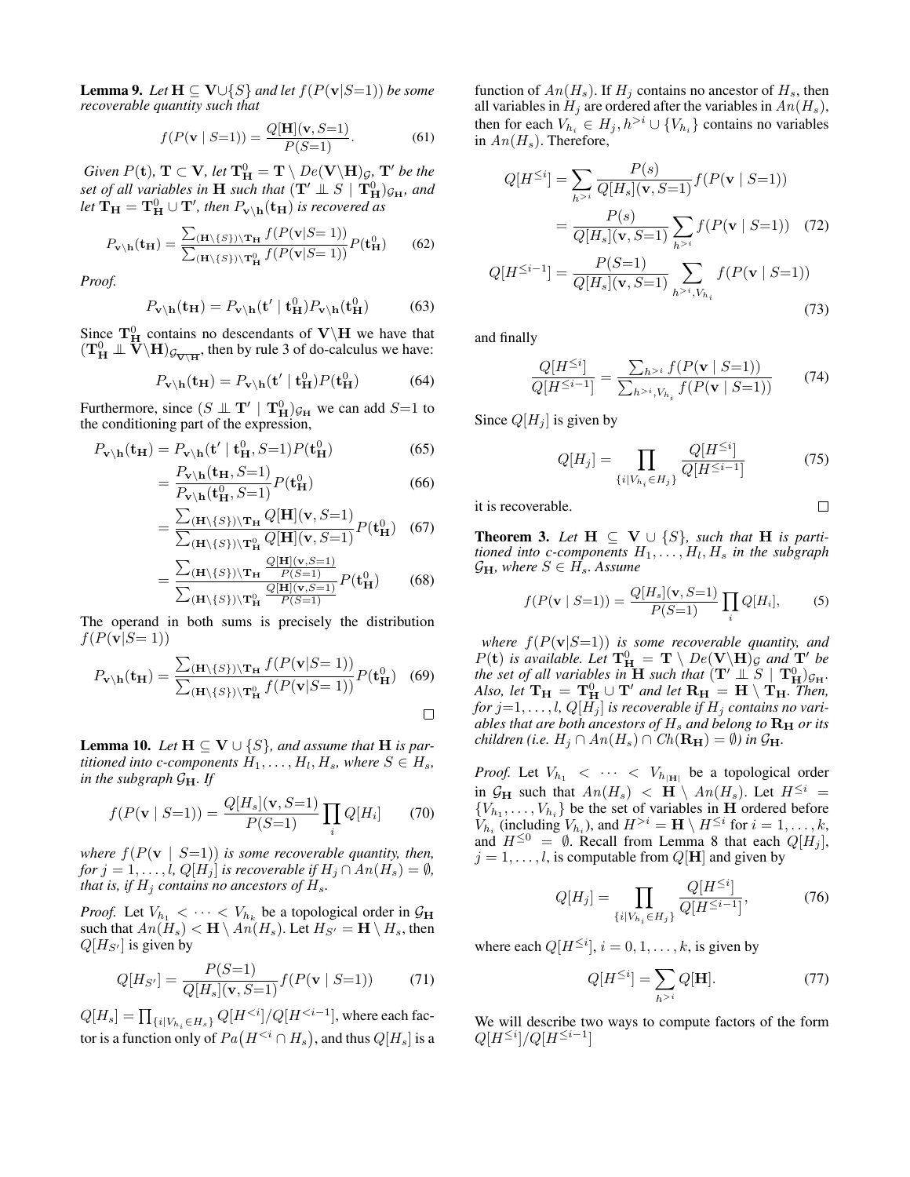**Lemma 9.** *Let*  $H \subseteq V \cup \{S\}$  *and let*  $f(P(v|S=1))$  *be some recoverable quantity such that*

$$
f(P(\mathbf{v} \mid S=1)) = \frac{Q[\mathbf{H}](\mathbf{v}, S=1)}{P(S=1)}.
$$
 (61)

 $Given P(\mathbf{t}), \, \mathbf{T} \subset \mathbf{V},$  let  $\mathbf{T_H^0} = \mathbf{T} \setminus De(\mathbf{V \setminus H})_{\mathcal{G}_2}$   $\mathbf{T}'$  be the *set of all variables in* **H** *such that*  $(\mathbf{T}' \perp\!\!\!\perp S \mid \mathbf{T}_{\mathbf{H}}^0)_{\mathcal{G}_{\mathbf{H}}}$ *, and* let  $\mathbf{T_H} = \mathbf{T_H^0} \cup \mathbf{T'}$ , then  $P_{\mathbf{v}\backslash \mathbf{h}}(\mathbf{t_H})$  is recovered as

$$
P_{\mathbf{v}\backslash\mathbf{h}}(\mathbf{t}_{\mathbf{H}}) = \frac{\sum_{(\mathbf{H}\backslash\{S\})\backslash\mathbf{T}_{\mathbf{H}}} f(P(\mathbf{v}|S=1))}{\sum_{(\mathbf{H}\backslash\{S\})\backslash\mathbf{T}_{\mathbf{H}}^0} f(P(\mathbf{v}|S=1))} P(\mathbf{t}_{\mathbf{H}}^0)
$$
(62)

*Proof.*

$$
P_{\mathbf{v}\backslash\mathbf{h}}(\mathbf{t}_{\mathbf{H}}) = P_{\mathbf{v}\backslash\mathbf{h}}(\mathbf{t}' \mid \mathbf{t}_{\mathbf{H}}^0) P_{\mathbf{v}\backslash\mathbf{h}}(\mathbf{t}_{\mathbf{H}}^0)
$$
(63)

Since  $T_H^0$  contains no descendants of  $V\ H$  we have that  $(\mathbf{T}_{\mathbf{H}}^{0} \perp \mathbf{\ddot{V}} \setminus \mathbf{H})_{\mathcal{G}_{\overline{\mathbf{V}} \setminus \mathbf{H}}}$ , then by rule 3 of do-calculus we have:

$$
P_{\mathbf{v}\backslash\mathbf{h}}(\mathbf{t}_{\mathbf{H}}) = P_{\mathbf{v}\backslash\mathbf{h}}(\mathbf{t}' \mid \mathbf{t}_{\mathbf{H}}^0) P(\mathbf{t}_{\mathbf{H}}^0)
$$
(64)

Furthermore, since  $(S \perp \!\!\!\perp T' \mid T_H^0)_{\mathcal{G}_H}$  we can add  $S=1$  to the conditioning part of the expression,

$$
P_{\mathbf{v}\backslash\mathbf{h}}(\mathbf{t}_{\mathbf{H}}) = P_{\mathbf{v}\backslash\mathbf{h}}(\mathbf{t}' \mid \mathbf{t}_{\mathbf{H}}^0, S=1) P(\mathbf{t}_{\mathbf{H}}^0)
$$
(65)

$$
= \frac{P_{\mathbf{v}\backslash\mathbf{h}}(\mathbf{t}_{\mathbf{H}}, S=1)}{P_{\mathbf{v}\backslash\mathbf{h}}(\mathbf{t}_{\mathbf{H}}^{0}, S=1)} P(\mathbf{t}_{\mathbf{H}}^{0})
$$
(66)

$$
= \frac{\sum_{(\mathbf{H}\backslash\{S\})\backslash\mathbf{T}_{\mathbf{H}}} Q[\mathbf{H}](\mathbf{v}, S=1)}{\sum_{(\mathbf{H}\backslash\{S\})\backslash\mathbf{T}_{\mathbf{H}}^0} Q[\mathbf{H}](\mathbf{v}, S=1)} P(\mathbf{t}_{\mathbf{H}}^0)
$$
(67)

$$
= \frac{\sum_{(\mathbf{H}\backslash\{S\})\backslash\mathbf{T}_{\mathbf{H}}} \frac{Q[\mathbf{H}](\mathbf{v}, S=1)}{P(S=1)}}{\sum_{(\mathbf{H}\backslash\{S\})\backslash\mathbf{T}_{\mathbf{H}}^0} \frac{Q[\mathbf{H}](\mathbf{v}, S=1)}{P(S=1)}} P(\mathbf{t}_{\mathbf{H}}^0)
$$
(68)

The operand in both sums is precisely the distribution  $f(P({\bf v}|S=1))$ 

$$
P_{\mathbf{v}\backslash\mathbf{h}}(\mathbf{t}_{\mathbf{H}}) = \frac{\sum_{(\mathbf{H}\backslash\{S\})\backslash\mathbf{T}_{\mathbf{H}}} f(P(\mathbf{v}|S=1))}{\sum_{(\mathbf{H}\backslash\{S\})\backslash\mathbf{T}_{\mathbf{H}}^0} f(P(\mathbf{v}|S=1))} P(\mathbf{t}_{\mathbf{H}}^0)
$$
(69)

**Lemma 10.** *Let*  $H \subseteq V \cup \{S\}$ *, and assume that*  $H$  *is partitioned into c-components*  $H_1, \ldots, H_l, H_s$ *, where*  $S \in H_s$ *, in the subgraph*  $\mathcal{G}_H$ *. If* 

$$
f(P(\mathbf{v} \mid S=1)) = \frac{Q[H_s](\mathbf{v}, S=1)}{P(S=1)} \prod_i Q[H_i] \tag{70}
$$

*where*  $f(P(\mathbf{v} \mid S=1))$  *is some recoverable quantity, then, for*  $j = 1, \ldots, l$ ,  $Q[H]$  *is recoverable if*  $H_j \cap An(H_s) = \emptyset$ , *that is, if*  $H_j$  *contains no ancestors of*  $H_s$ *.* 

*Proof.* Let  $V_{h_1} < \cdots < V_{h_k}$  be a topological order in  $\mathcal{G}_{\mathbf{H}}$ such that  $An(H_s) < H \setminus An(H_s)$ . Let  $H_{S'} = H \setminus H_s$ , then  $Q[H_{S'}]$  is given by

$$
Q[H_{S'}] = \frac{P(S=1)}{Q[H_s](\mathbf{v}, S=1)} f(P(\mathbf{v} \mid S=1))
$$
(71)

 $Q[H_s]=\prod_{\{i\mid V_{h_i}\in H_s\}}Q[H^{ where each fac$ tor is a function only of  $Pa\big(H^{ and thus  $Q[H_s]$  is a$ 

function of  $An(H_s)$ . If  $H_i$  contains no ancestor of  $H_s$ , then all variables in  $H_j$  are ordered after the variables in  $An(H_s)$ , then for each  $V_{h_i} \in H_j, h^{>i} \cup \{V_{h_i}\}\)$  contains no variables in  $An(H_s)$ . Therefore,

$$
Q[H^{\leq i}] = \sum_{h>i} \frac{P(s)}{Q[H_s](\mathbf{v}, S=1)} f(P(\mathbf{v} \mid S=1))
$$

$$
= \frac{P(s)}{Q[H_s](\mathbf{v}, S=1)} \sum_{h>i} f(P(\mathbf{v} \mid S=1)) \quad (72)
$$

$$
Q[H^{\leq i-1}] = \frac{P(S=1)}{Q[H_s](\mathbf{v}, S=1)} \sum_{h^{>i}, V_{h_i}} f(P(\mathbf{v} \mid S=1))
$$
\n(73)

and finally

$$
\frac{Q[H^{\leq i}]}{Q[H^{\leq i-1}]} = \frac{\sum_{h> i} f(P(\mathbf{v} \mid S=1))}{\sum_{h> i, V_{h_i}} f(P(\mathbf{v} \mid S=1))}
$$
(74)

Since  $Q[H_i]$  is given by

$$
Q[H_j] = \prod_{\{i \mid V_{h_i} \in H_j\}} \frac{Q[H^{\leq i}]}{Q[H^{\leq i-1}]} \tag{75}
$$

 $\Box$ 

it is recoverable.

**Theorem 3.** Let  $H \subseteq V \cup \{S\}$ , such that H is parti*tioned into c-components*  $H_1, \ldots, H_l, H_s$  *in the subgraph*  $\mathcal{G}_{H}$ *, where*  $S \in H_s$ *. Assume* 

$$
f(P(\mathbf{v} \mid S=1)) = \frac{Q[H_s](\mathbf{v}, S=1)}{P(S=1)} \prod_i Q[H_i],\tag{5}
$$

*where*  $f(P(\mathbf{v}|S=1))$  *is some recoverable quantity, and*  $P(\mathbf{t})$  is available. Let  $\mathbf{T}_{\mathbf{H}}^0 = \mathbf{T} \setminus De(\mathbf{V} \setminus \mathbf{H})$  *g* and  $\mathbf{T}'$  be *the set of all variables in* **H** *such that*  $(T' \perp S | T_H^0)_{\mathcal{G}_H}$ . *Also, let*  $T_H = T_H^0 \cup T'$  *and let*  $R_H = H \setminus T_H$ . *Then, for*  $j = 1, \ldots, l$ ,  $Q[H_j]$  *is recoverable if*  $H_j$  *contains no variables that are both ancestors of*  $H_s$  *and belong to*  $\mathbf{R}_{\rm H}$  *or its children (i.e.*  $H_j \cap An(H_s) \cap Ch(\mathbf{R_H}) = \emptyset$ ) in  $\mathcal{G}_H$ .

*Proof.* Let  $V_{h_1} < \cdots < V_{h_{|\mathbf{H}|}}$  be a topological order in  $\mathcal{G}_{\mathbf{H}}$  such that  $An(H_s) < \mathbf{H} \setminus An(H_s)$ . Let  $H^{\leq i}$  =  ${V_{h_1}, \ldots, V_{h_i}}$  be the set of variables in **H** ordered before  $V_{h_i}$  (including  $V_{h_i}$ ), and  $H^{>i} = \mathbf{H} \setminus H^{\leq i}$  for  $i = 1, \ldots, k$ , and  $H^{\leq 0} = \emptyset$ . Recall from Lemma 8 that each  $Q[H_j],$  $j = 1, \ldots, l$ , is computable from  $Q[\mathbf{H}]$  and given by

$$
Q[H_j] = \prod_{\{i|V_{h_i} \in H_j\}} \frac{Q[H^{\leq i}]}{Q[H^{\leq i-1}]},
$$
(76)

where each  $Q[H^{\leq i}], i = 0, 1, \ldots, k$ , is given by

$$
Q[H^{\leq i}] = \sum_{h>i} Q[\mathbf{H}].\tag{77}
$$

We will describe two ways to compute factors of the form  $Q[H^{\leq i}]/Q[H^{\leq i-1}]$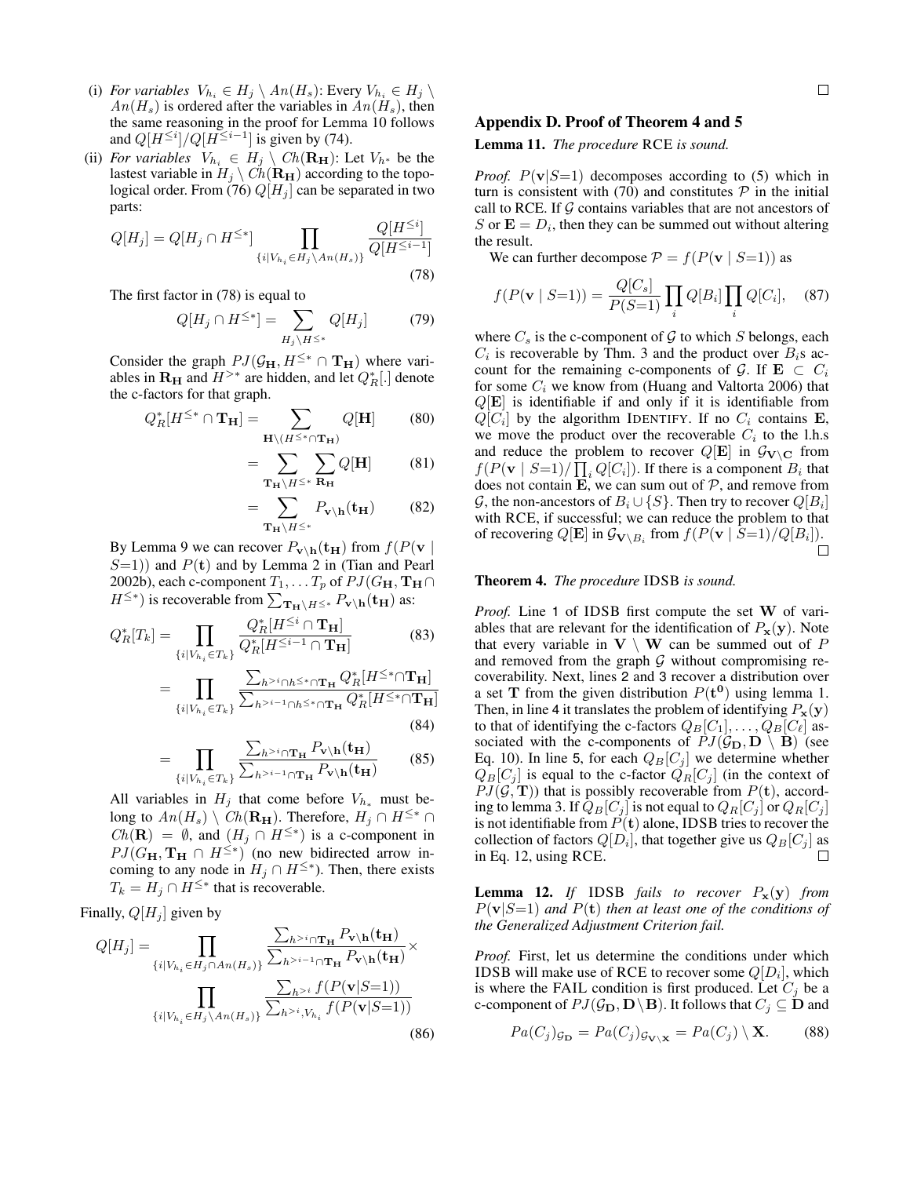- (i) *For variables*  $V_{h_i} \in H_j \setminus An(H_s)$ : Every  $V_{h_i} \in H_j \setminus$  $An(H<sub>s</sub>)$  is ordered after the variables in  $An(H<sub>s</sub>)$ , then the same reasoning in the proof for Lemma 10 follows and  $Q[H^{\leq i}]/Q[H^{\leq i-1}]$  is given by (74).
- (ii) *For variables*  $V_{h_i} \in H_j \setminus Ch(\mathbf{R_H})$ : Let  $V_{h^*}$  be the lastest variable in  $H_j \setminus \hat{Ch}(\mathbf{R_H})$  according to the topological order. From (76)  $Q[H_i]$  can be separated in two parts:

$$
Q[H_j] = Q[H_j \cap H^{\leq *}] \prod_{\{i \mid V_{h_i} \in H_j \setminus An(H_s)\}} \frac{Q[H^{\leq i}]}{Q[H^{\leq i-1}]}
$$
(78)

The first factor in (78) is equal to

$$
Q[H_j \cap H^{\leq *}] = \sum_{H_j \setminus H^{\leq *}} Q[H_j] \tag{79}
$$

Consider the graph  $PJ(\mathcal{G}_H, H^{\leq *}\cap \mathbf{T_H})$  where variables in  $\mathbf{R}_{\mathbf{H}}$  and  $H^{>*}$  are hidden, and let  $Q_R^*[.]$  denote the c-factors for that graph.

=

$$
Q_R^*[H^{\leq *} \cap \mathbf{T}_{\mathbf{H}}] = \sum_{\mathbf{H} \setminus (H^{\leq *} \cap \mathbf{T}_{\mathbf{H}})} Q[\mathbf{H}] \tag{80}
$$

$$
= \sum_{\mathbf{T}_{\mathbf{H}} \setminus H \leq *} \sum_{\mathbf{R}_{\mathbf{H}}} Q[\mathbf{H}] \tag{81}
$$

$$
=\sum_{\mathbf{T}_{\mathbf{H}}\backslash H^{\leq *}}P_{\mathbf{v}\backslash \mathbf{h}}(\mathbf{t}_{\mathbf{H}})
$$
 (82)

By Lemma 9 we can recover  $P_{\mathbf{v}\setminus\mathbf{h}}(\mathbf{t_H})$  from  $f(P(\mathbf{v}))$  $(S=1)$ ) and  $P(t)$  and by Lemma 2 in (Tian and Pearl 2002b), each c-component  $T_1, \ldots T_p$  of  $PJ(G_H, \mathbf{T}_H \cap$  $H^{\leq *})$  is recoverable from  $\sum_{\mathbf{T_H}\backslash H^{\leq *}} P_{\mathbf{v}\backslash \mathbf{h}}(\mathbf{t_H})$  as:

$$
Q_R^*[T_k] = \prod_{\{i \mid V_{h_i} \in T_k\}} \frac{Q_R^*[H^{\leq i} \cap \mathbf{T_H}]}{Q_R^*[H^{\leq i-1} \cap \mathbf{T_H}]}
$$
(83)

$$
= \prod_{\{i|V_{h_i} \in T_k\}} \frac{\sum_{h \ge i \cap h \le \ast \cap \mathbf{T_H}} Q_R^* [H^{\le \ast} \cap \mathbf{T_H}]}{\sum_{h \ge i-1 \cap h \le \ast \cap \mathbf{T_H}} Q_R^* [H^{\le \ast} \cap \mathbf{T_H}]} \tag{84}
$$

$$
= \prod_{\{i|V_{h_i} \in T_k\}} \frac{\sum_{h>i \cap \mathbf{T_H}} P_{\mathbf{v} \setminus \mathbf{h}}(\mathbf{t_H})}{\sum_{h>i \cap \mathbf{T_H}} P_{\mathbf{v} \setminus \mathbf{h}}(\mathbf{t_H})}
$$
(85)

All variables in  $H_j$  that come before  $V_{h_*}$  must belong to  $An(H_s) \setminus Ch(\mathbf{R_H})$ . Therefore,  $H_i \cap H^{\leq *} \cap$  $Ch(\mathbf{R}) = \emptyset$ , and  $(H_j \cap H^{\leq *})$  is a c-component in  $PI(G_{\mathbf{H}}, \mathbf{T}_{\mathbf{H}} \cap H^{\leq *})$  (no new bidirected arrow incoming to any node in  $H_j \cap H^{\leq *}$ ). Then, there exists  $T_k = H_j \cap H^{\leq *}$  that is recoverable.

Finally,  $Q[H_i]$  given by

$$
Q[H_j] = \prod_{\{i|V_{h_i} \in H_j \cap An(H_s)\}} \frac{\sum_{h \ge i \cap \mathbf{T_H}} P_{\mathbf{v} \setminus \mathbf{h}}(\mathbf{t_H})}{\sum_{h \ge i-1 \cap \mathbf{T_H}} P_{\mathbf{v} \setminus \mathbf{h}}(\mathbf{t_H})} \times
$$

$$
\prod_{\{i|V_{h_i} \in H_j \setminus An(H_s)\}} \frac{\sum_{h \ge i} f(P(\mathbf{v}|S=1))}{\sum_{h \ge i, V_{h_i}} f(P(\mathbf{v}|S=1))}
$$
(86)

#### Appendix D. Proof of Theorem 4 and 5

Lemma 11. *The procedure* RCE *is sound.*

*Proof.*  $P(\mathbf{v}|S=1)$  decomposes according to (5) which in turn is consistent with (70) and constitutes  $P$  in the initial call to RCE. If  $G$  contains variables that are not ancestors of S or  $\mathbf{E} = D_i$ , then they can be summed out without altering the result.

We can further decompose  $\mathcal{P} = f(P(\mathbf{v} \mid S=1))$  as

$$
f(P(\mathbf{v} \mid S=1)) = \frac{Q[C_s]}{P(S=1)} \prod_i Q[B_i] \prod_i Q[C_i], \quad (87)
$$

where  $C_s$  is the c-component of  $G$  to which  $S$  belongs, each  $C_i$  is recoverable by Thm. 3 and the product over  $B_i$ s account for the remaining c-components of G. If  $\mathbf{E} \subset C_i$ for some  $C_i$  we know from (Huang and Valtorta 2006) that  $Q[\mathbf{E}]$  is identifiable if and only if it is identifiable from  $Q[C_i]$  by the algorithm IDENTIFY. If no  $C_i$  contains **E**, we move the product over the recoverable  $C_i$  to the l.h.s and reduce the problem to recover  $Q[\mathbf{E}]$  in  $\mathcal{G}_{\mathbf{V}\setminus\mathbf{C}}$  from  $f(P(\mathbf{v} \mid S=1) / \prod_i Q[C_i])$ . If there is a component  $B_i$  that does not contain E, we can sum out of  $P$ , and remove from  $\mathcal{G},$  the non-ancestors of  $B_i\cup\{S\}.$  Then try to recover  $Q[B_i]$ with RCE, if successful; we can reduce the problem to that of recovering  $Q[\mathbf{E}]$  in  $\mathcal{G}_{\mathbf{V} \setminus B_i}$  from  $f(P(\mathbf{v} \mid S=1)/Q[B_i]).$  $\Box$ 

#### Theorem 4. *The procedure* IDSB *is sound.*

*Proof.* Line 1 of IDSB first compute the set W of variables that are relevant for the identification of  $P_x(y)$ . Note that every variable in  $V \setminus W$  can be summed out of P and removed from the graph  $G$  without compromising recoverability. Next, lines 2 and 3 recover a distribution over a set **T** from the given distribution  $P(\mathbf{t}^0)$  using lemma 1. Then, in line 4 it translates the problem of identifying  $P_{\mathbf{x}}(\mathbf{y})$ to that of identifying the c-factors  $Q_B[C_1], \ldots, Q_B[C_\ell]$  associated with the c-components of  $\overrightarrow{P}$   $(\overrightarrow{G}_{D}, D \setminus \overrightarrow{B})$  (see Eq. 10). In line 5, for each  $Q_B[C_j]$  we determine whether  $Q_B[C_j]$  is equal to the c-factor  $Q_R[C_j]$  (in the context of  $PI(\mathcal{G}, \mathbf{T})$  that is possibly recoverable from  $P(\mathbf{t})$ , according to lemma 3. If  $Q_B[C_j]$  is not equal to  $Q_R[C_j]$  or  $Q_R[C_j]$ is not identifiable from  $P(t)$  alone, IDSB tries to recover the collection of factors  $Q[D_i]$ , that together give us  $Q_B[C_j]$  as in Eq. 12, using RCE.

**Lemma 12.** If IDSB fails to recover  $P_x(y)$  from  $P(\mathbf{v}|S=1)$  *and*  $P(\mathbf{t})$  *then at least one of the conditions of the Generalized Adjustment Criterion fail.*

*Proof.* First, let us determine the conditions under which IDSB will make use of RCE to recover some  $Q[D_i]$ , which is where the FAIL condition is first produced. Let  $C_j$  be a c-component of  $PJ(\mathcal{G}_D, D \ B)$ . It follows that  $C_j \subseteq D$  and

$$
Pa(C_j)_{\mathcal{G}_{\mathbf{D}}} = Pa(C_j)_{\mathcal{G}_{\mathbf{V}\setminus\mathbf{X}}} = Pa(C_j) \setminus \mathbf{X}.
$$
 (88)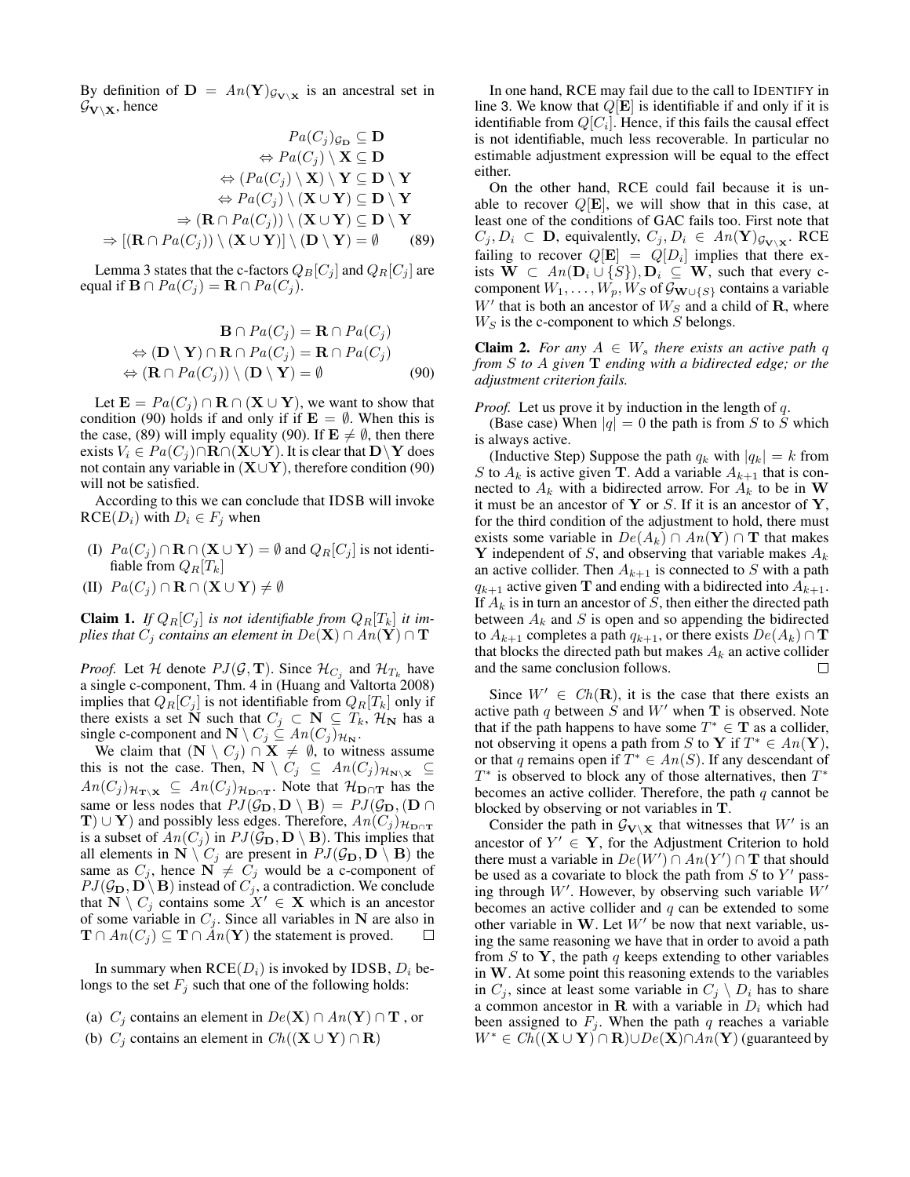By definition of  $\mathbf{D} = An(\mathbf{Y})_{\mathcal{G}_{\mathbf{V}\setminus\mathbf{X}}}$  is an ancestral set in  $\mathcal{G}_{\mathbf{V}\setminus\mathbf{X}}$ , hence

$$
Pa(C_j)_{G_D} \subseteq D
$$
  
\n
$$
\Leftrightarrow Pa(C_j) \setminus \mathbf{X} \subseteq \mathbf{D}
$$
  
\n
$$
\Leftrightarrow (Pa(C_j) \setminus \mathbf{X}) \setminus \mathbf{Y} \subseteq \mathbf{D} \setminus \mathbf{Y}
$$
  
\n
$$
\Leftrightarrow Pa(C_j) \setminus (\mathbf{X} \cup \mathbf{Y}) \subseteq \mathbf{D} \setminus \mathbf{Y}
$$
  
\n
$$
\Rightarrow (\mathbf{R} \cap Pa(C_j)) \setminus (\mathbf{X} \cup \mathbf{Y}) \subseteq \mathbf{D} \setminus \mathbf{Y}
$$
  
\n
$$
\Rightarrow [(\mathbf{R} \cap Pa(C_j)) \setminus (\mathbf{X} \cup \mathbf{Y})] \setminus (\mathbf{D} \setminus \mathbf{Y}) = \emptyset
$$
 (89)

Lemma 3 states that the c-factors  $Q_B[C_i]$  and  $Q_R[C_i]$  are equal if  $\mathbf{B} \cap Pa(C_j) = \mathbf{R} \cap Pa(C_j)$ .

$$
\mathbf{B} \cap Pa(C_j) = \mathbf{R} \cap Pa(C_j)
$$
  
\n
$$
\Leftrightarrow (\mathbf{D} \setminus \mathbf{Y}) \cap \mathbf{R} \cap Pa(C_j) = \mathbf{R} \cap Pa(C_j)
$$
  
\n
$$
\Leftrightarrow (\mathbf{R} \cap Pa(C_j)) \setminus (\mathbf{D} \setminus \mathbf{Y}) = \emptyset
$$
 (90)

Let  $\mathbf{E} = Pa(C_i) \cap \mathbf{R} \cap (\mathbf{X} \cup \mathbf{Y})$ , we want to show that condition (90) holds if and only if if  $\mathbf{E} = \emptyset$ . When this is the case, (89) will imply equality (90). If  $\mathbf{E} \neq \emptyset$ , then there exists  $V_i \in Pa(C_j) \cap \mathbf{R} \cap (\mathbf{X} \cup \mathbf{Y})$ . It is clear that  $\mathbf{D} \setminus \mathbf{Y}$  does not contain any variable in  $(X \cup Y)$ , therefore condition (90) will not be satisfied.

According to this we can conclude that IDSB will invoke  $RCE(D_i)$  with  $D_i \in F_j$  when

- (I)  $Pa(C_j) \cap \mathbf{R} \cap (\mathbf{X} \cup \mathbf{Y}) = \emptyset$  and  $Q_R[C_j]$  is not identifiable from  $Q_R[T_k]$
- (II)  $Pa(C_i) \cap \mathbf{R} \cap (\mathbf{X} \cup \mathbf{Y}) \neq \emptyset$

**Claim 1.** If  $Q_R[C_j]$  is not identifiable from  $Q_R[T_k]$  it im*plies that*  $C_j$  *contains an element in*  $De(\mathbf{X}) \cap An(\mathbf{Y}) \cap \mathbf{T}$ 

*Proof.* Let H denote  $PI(\mathcal{G}, \mathbf{T})$ . Since  $\mathcal{H}_{C_j}$  and  $\mathcal{H}_{T_k}$  have a single c-component, Thm. 4 in (Huang and Valtorta 2008) implies that  $Q_R[C_j]$  is not identifiable from  $Q_R[T_k]$  only if there exists a set N such that  $C_j \subset \mathbf{N} \subseteq T_k$ ,  $\mathcal{H}_{\mathbf{N}}$  has a single c-component and  $\mathbf{N} \setminus C_j \subseteq An(C_j)_{\mathcal{H}_{\mathbf{N}}}$ .

We claim that  $(N \setminus C_j) \cap X \neq \emptyset$ , to witness assume this is not the case. Then,  $\mathbf{N} \setminus C_j \subseteq An(C_j)_{\mathcal{H}_{\mathbf{N}\setminus\mathbf{X}}}$  $An(C_j)_{\mathcal{H}_{\mathbf{T}\setminus\mathbf{X}}} \subseteq An(C_j)_{\mathcal{H}_{\mathbf{D}\cap\mathbf{T}}}$ . Note that  $\mathcal{H}_{\mathbf{D}\cap\mathbf{T}}$  has the same or less nodes that  $PJ(\mathcal{G}_D, D \setminus B) = PJ(\mathcal{G}_D, (D \cap B))$ T) ∪ Y) and possibly less edges. Therefore,  $An(C_j)_{\mathcal{H}_{\text{DT}}}$ is a subset of  $An(C_j)$  in  $PI(\mathcal{G}_D, D \setminus B)$ . This implies that all elements in  $N \setminus C_j$  are present in  $PJ(\mathcal{G}_D, D \setminus B)$  the same as  $C_j$ , hence  $N \neq C_j$  would be a c-component of  $PI(\mathcal{G}_D, D \setminus B)$  instead of  $C_j$ , a contradiction. We conclude that  $N \setminus C_j$  contains some  $X' \in X$  which is an ancestor of some variable in  $C_j$ . Since all variables in N are also in  $\mathbf{T} \cap An(C_i) \subseteq \mathbf{T} \cap An(\mathbf{Y})$  the statement is proved.  $\Box$ 

In summary when  $RCE(D_i)$  is invoked by IDSB,  $D_i$  belongs to the set  $F_j$  such that one of the following holds:

- (a)  $C_j$  contains an element in  $De(X) \cap An(Y) \cap T$ , or
- (b)  $C_i$  contains an element in  $Ch((\mathbf{X} \cup \mathbf{Y}) \cap \mathbf{R})$

In one hand, RCE may fail due to the call to IDENTIFY in line 3. We know that  $Q[\mathbf{E}]$  is identifiable if and only if it is identifiable from  $Q[C_i]$ . Hence, if this fails the causal effect is not identifiable, much less recoverable. In particular no estimable adjustment expression will be equal to the effect either.

On the other hand, RCE could fail because it is unable to recover  $Q[\mathbf{E}]$ , we will show that in this case, at least one of the conditions of GAC fails too. First note that  $C_j, D_i \subset \mathbf{D}$ , equivalently,  $C_j, D_i \in An(\mathbf{Y})_{\mathcal{G}_{\mathbf{V}\setminus\mathbf{X}}}$ . RCE failing to recover  $Q[\mathbf{E}] = Q[D_i]$  implies that there exists  $\mathbf{W} \subset An(\mathbf{D}_i \cup \{S\}), \mathbf{D}_i \subseteq \mathbf{W}$ , such that every ccomponent  $W_1, \ldots, W_p, W_S$  of  $\mathcal{G}_{\mathbf{W} \cup \{S\}}$  contains a variable  $W'$  that is both an ancestor of  $W_S$  and a child of R, where  $W<sub>S</sub>$  is the c-component to which S belongs.

**Claim 2.** For any  $A \in W_s$  there exists an active path q *from* S *to* A *given* T *ending with a bidirected edge; or the adjustment criterion fails.*

*Proof.* Let us prove it by induction in the length of q.

(Base case) When  $|q| = 0$  the path is from S to S which is always active.

(Inductive Step) Suppose the path  $q_k$  with  $|q_k| = k$  from S to  $A_k$  is active given **T**. Add a variable  $A_{k+1}$  that is connected to  $A_k$  with a bidirected arrow. For  $A_k$  to be in W it must be an ancestor of Y or S. If it is an ancestor of Y, for the third condition of the adjustment to hold, there must exists some variable in  $De(A_k) \cap An(Y) \cap T$  that makes Y independent of  $S$ , and observing that variable makes  $A_k$ an active collider. Then  $A_{k+1}$  is connected to S with a path  $q_{k+1}$  active given **T** and ending with a bidirected into  $A_{k+1}$ . If  $A_k$  is in turn an ancestor of  $S$ , then either the directed path between  $A_k$  and S is open and so appending the bidirected to  $A_{k+1}$  completes a path  $q_{k+1}$ , or there exists  $De(A_k) \cap T$ that blocks the directed path but makes  $A_k$  an active collider and the same conclusion follows.  $\Box$ 

Since  $W' \in Ch(\mathbf{R})$ , it is the case that there exists an active path q between  $S$  and  $W'$  when T is observed. Note that if the path happens to have some  $T^* \in \mathbf{T}$  as a collider, not observing it opens a path from S to Y if  $T^* \in An(Y)$ , or that q remains open if  $T^* \in An(S)$ . If any descendant of  $T^*$  is observed to block any of those alternatives, then  $T^*$ becomes an active collider. Therefore, the path  $q$  cannot be blocked by observing or not variables in T.

Consider the path in  $\mathcal{G}_{\mathbf{V}\setminus\mathbf{X}}$  that witnesses that  $W'$  is an ancestor of  $Y' \in Y$ , for the Adjustment Criterion to hold there must a variable in  $De(W') \cap An(Y') \cap T$  that should be used as a covariate to block the path from  $S$  to  $Y'$  passing through W'. However, by observing such variable  $W'$ becomes an active collider and  $q$  can be extended to some other variable in W. Let  $W'$  be now that next variable, using the same reasoning we have that in order to avoid a path from  $S$  to  $Y$ , the path  $q$  keeps extending to other variables in W. At some point this reasoning extends to the variables in  $C_j$ , since at least some variable in  $C_j \setminus D_i$  has to share a common ancestor in **R** with a variable in  $D_i$  which had been assigned to  $F_i$ . When the path q reaches a variable  $W^* \in Ch((\mathbf{X} \cup \mathbf{Y}) \cap \mathbf{R}) \cup De(\mathbf{X}) \cap An(\mathbf{Y})$  (guaranteed by